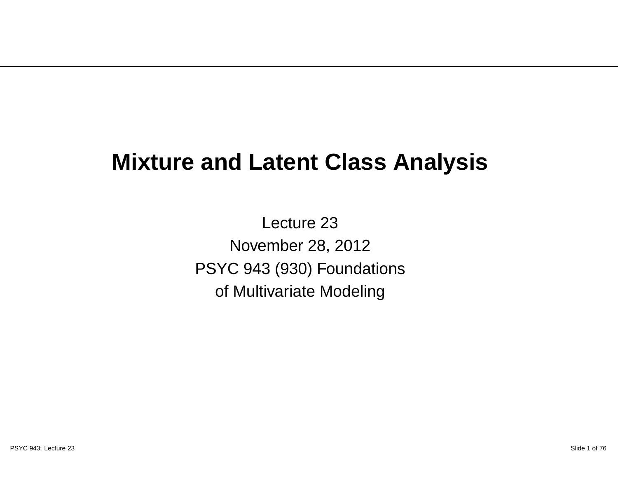#### **Mixture and Latent Class Analysis**

Lecture 23 November 28, 2012 PSYC 943 (930) Foundationsof Multivariate Modeling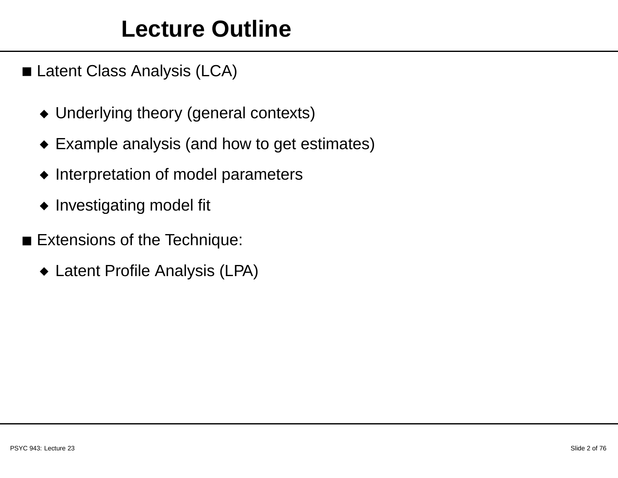#### **Lecture Outline**

- Latent Class Analysis (LCA)
	- ◆ Underlying theory (general contexts)
	- ◆ Example analysis (and how to get estimates)
	- ◆ Interpretation of model parameters
	- ◆ Investigating model fit
- Extensions of the Technique:
	- ◆ Latent Profile Analysis (LPA)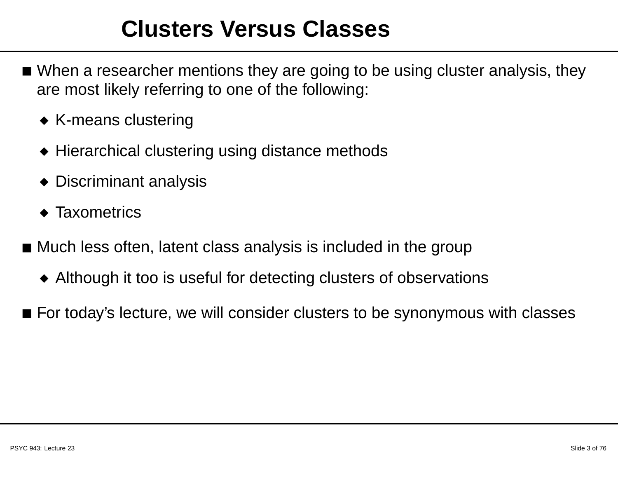#### **Clusters Versus Classes**

- $\blacksquare$  When a researcher mentions they are going to be using cluster analysis, they are most likely referring to one of the following:
	- ◆ K-means clustering
	- $\blacklozenge$  Hierarchical clustering using distance methods
	- ◆ Discriminant analysis
	- ◆ Taxometrics
- $\blacksquare$  Much less often, latent class analysis is included in the group
	- ◆ Although it too is useful for detecting clusters of observations
- $\blacksquare$  For today's lecture, we will consider clusters to be synonymous with classes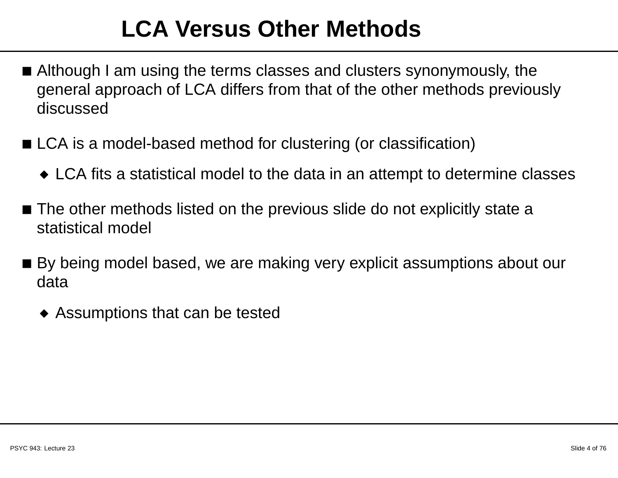#### **LCA Versus Other Methods**

- Although <sup>I</sup> am using the terms classes and clusters synonymously, the general approach of LCA differs from that of the other methods previouslydiscussed
- LCA is <sup>a</sup> model-based method for clustering (or classification)
	- $\bullet$  LCA fits a statistical model to the data in an attempt to determine classes
- $\blacksquare$  The other methods listed on the previous slide do not explicitly state a statistical model
- $\blacksquare$  By being model based, we are making very explicit assumptions about our data
	- ◆ Assumptions that can be tested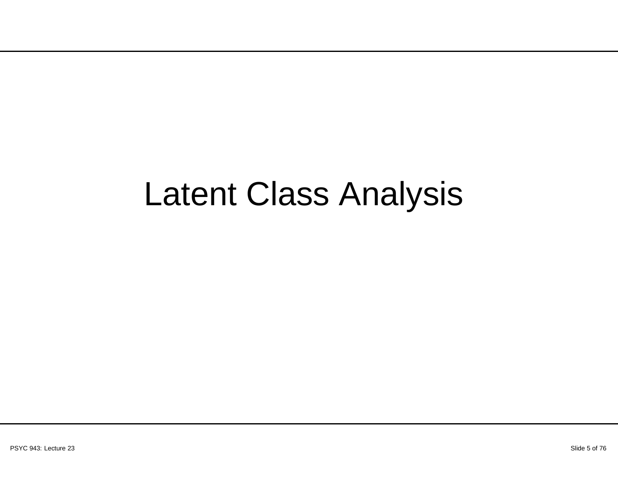## Latent Class Analysis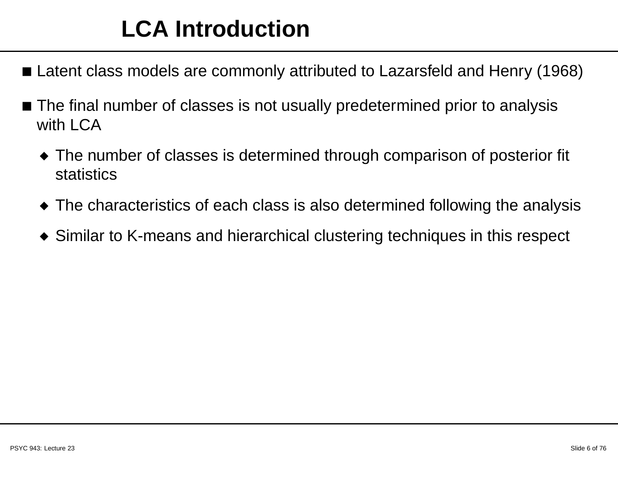#### **LCA Introduction**

- Latent class models are commonly attributed to Lazarsfeld and Henry (1968)
- $\blacksquare$  The final number of classes is not usually predetermined prior to analysis with LCA
	- $\blacklozenge$  The number of classes is determined through comparison of posterior fit statistics
	- $\blacklozenge$  The characteristics of each class is also determined following the analysis
	- $\blacklozenge$  Similar to K-means and hierarchical clustering techniques in this respect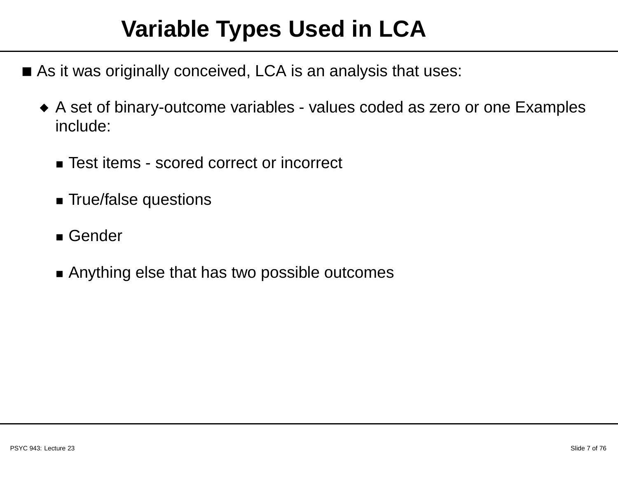#### **Variable Types Used in LCA**

- $\blacksquare$  As it was originally conceived, LCA is an analysis that uses:
	- ◆ A set of binary-outcome variables values coded as zero or one Examples include:
		- Test items scored correct or incorrect
		- True/false questions
		- Gender
		- Anything else that has two possible outcomes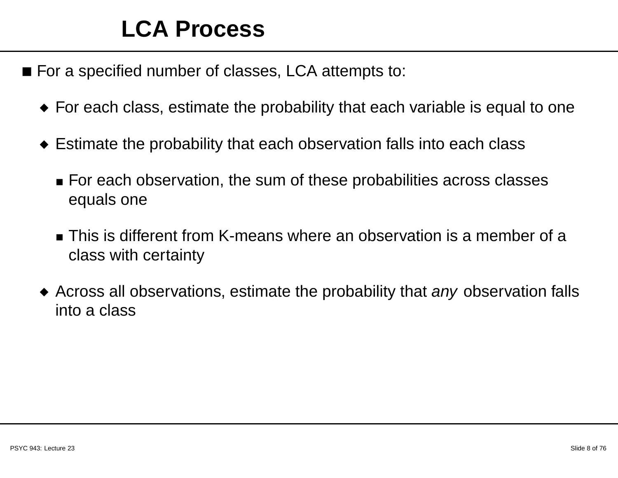#### **LCA Process**

- For <sup>a</sup> specified number of classes, LCA attempts to:
	- $\bullet\,$  For each class, estimate the probability that each variable is equal to one
	- $\bullet\,$  Estimate the probability that each observation falls into each class
		- $\textcolor{red}{\bullet}$  For each observation, the sum of these probabilities across classes equals one
		- $\blacksquare$  This is different from K-means where an observation is a member of a class with certainty
	- $\blacklozenge$  Across all observations, estimate the probability that any observation falls into <sup>a</sup> class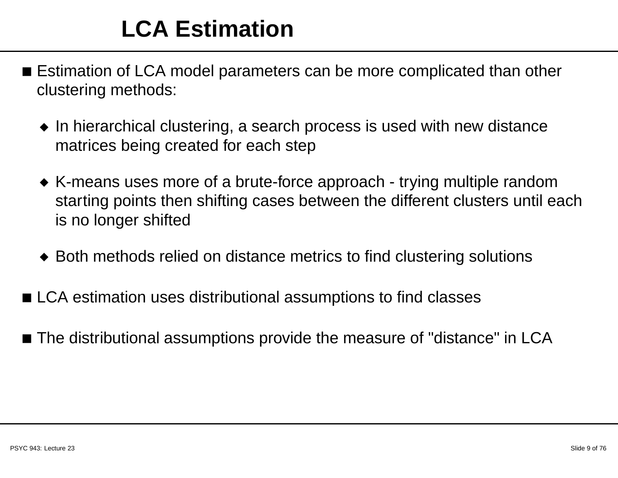#### **LCA Estimation**

- $\blacksquare$  Estimation of LCA model parameters can be more complicated than other clustering methods:
	- $\bullet\,$  In hierarchical clustering, a search process is used with new distance matrices being created for each step
	- $\bullet\,$  K-means uses more of a brute-force approach trying multiple random starting points then shifting cases between the different clusters until eachis no longer shifted
	- ◆ Both methods relied on distance metrics to find clustering solutions
- $\blacksquare$  LCA estimation uses distributional assumptions to find classes
- $\blacksquare$  The distributional assumptions provide the measure of "distance" in LCA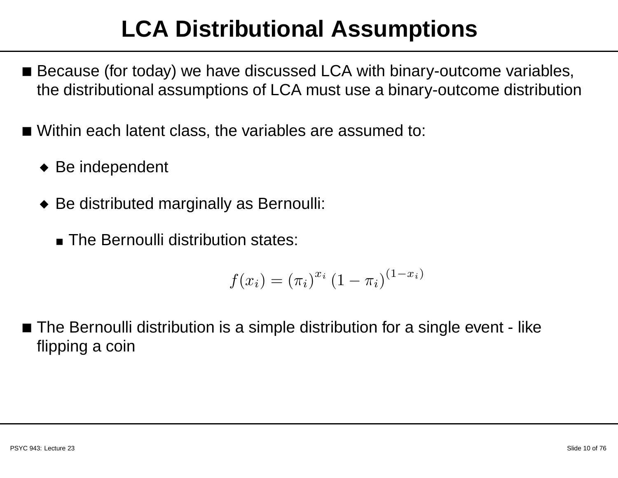#### **LCA Distributional Assumptions**

- $\blacksquare$  Because (for today) we have discussed LCA with binary-outcome variables, the distributional assumptions of LCA must use <sup>a</sup> binary-outcome distribution
- Within each latent class, the variables are assumed to:
	- ◆ Be independent
	- ◆ Be distributed marginally as Bernoulli:
		- The Bernoulli distribution states:

$$
f(x_i) = (\pi_i)^{x_i} (1 - \pi_i)^{(1 - x_i)}
$$

 $\blacksquare$  The Bernoulli distribution is a simple distribution for a single event - like flipping <sup>a</sup> coin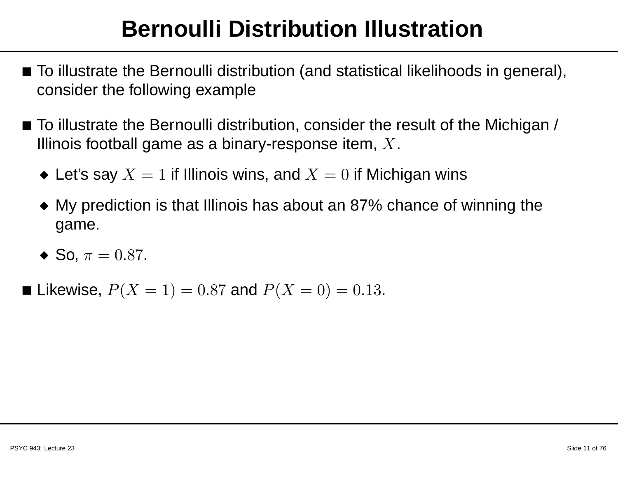#### **Bernoulli Distribution Illustration**

- $\blacksquare$  To illustrate the Bernoulli distribution (and statistical likelihoods in general), consider the following example
- $\blacksquare$  To illustrate the Bernoulli distribution, consider the result of the Michigan / Illinois football game as a binary-response item,  $X$ .
	- $\blacklozenge$  Let's say  $X=1$  if Illinois wins, and  $X=0$  if Michigan wins
	- $\bullet\,$  My prediction is that Illinois has about an 87% chance of winning the game.
	- $\bullet$  So,  $\pi = 0.87$ .
- Likewise,  $P(X = 1) = 0.87$  and  $P(X = 0) = 0.13$ .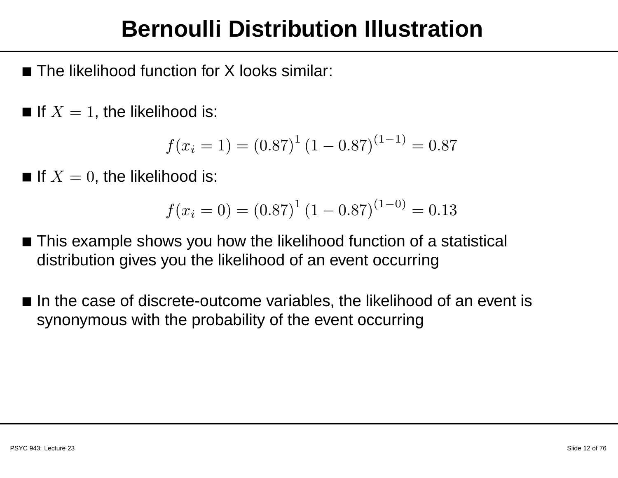#### **Bernoulli Distribution Illustration**

- $\blacksquare$  The likelihood function for X looks similar:
- $\blacksquare$  If  $X=1$ , the likelihood is:

$$
f(x_i = 1) = (0.87)^{1} (1 - 0.87)^{(1 - 1)} = 0.87
$$

 $\blacksquare$  If  $X=0,$  the likelihood is:

$$
f(x_i = 0) = (0.87)^{1} (1 - 0.87)^{(1 - 0)} = 0.13
$$

- $\blacksquare$  This example shows you how the likelihood function of a statistical distribution gives you the likelihood of an event occurring
- $\blacksquare$  In the case of discrete-outcome variables, the likelihood of an event is synonymous with the probability of the event occurring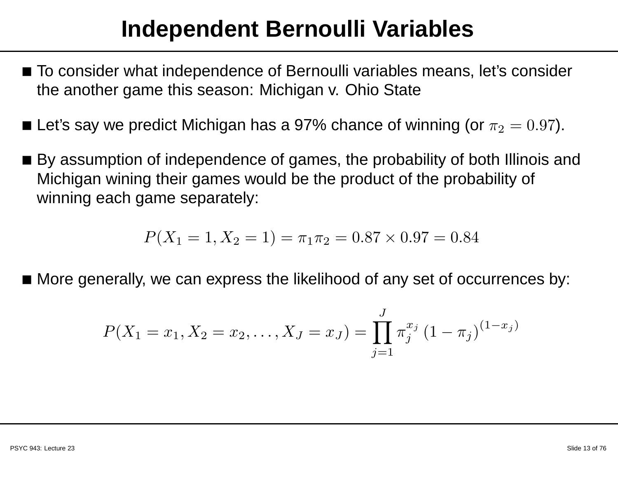#### **Independent Bernoulli Variables**

- $\blacksquare$  To consider what independence of Bernoulli variables means, let's consider the another game this season: Michigan v. Ohio State
- $\blacksquare$  Let's say we predict Michigan has a 97% chance of winning (or  $\pi_2 = 0.97$ ).
- $\blacksquare$  By assumption of independence of games, the probability of both Illinois and Michigan wining their games would be the product of the probability of winning each game separately:

$$
P(X_1 = 1, X_2 = 1) = \pi_1 \pi_2 = 0.87 \times 0.97 = 0.84
$$

 $\blacksquare$  More generally, we can express the likelihood of any set of occurrences by:

$$
P(X_1 = x_1, X_2 = x_2, \dots, X_J = x_J) = \prod_{j=1}^{J} \pi_j^{x_j} (1 - \pi_j)^{(1 - x_j)}
$$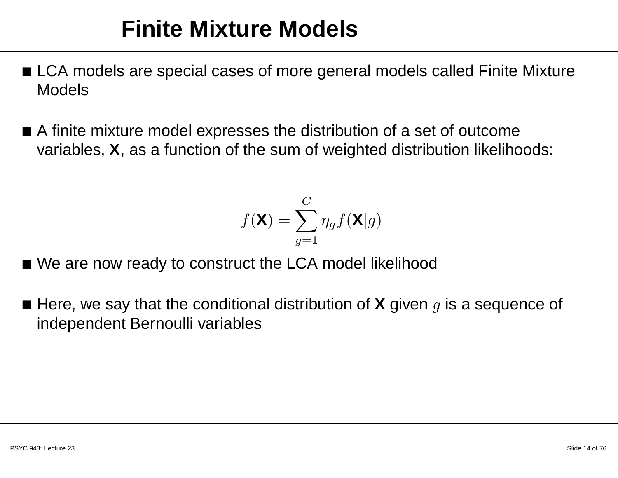#### **Finite Mixture Models**

- $\blacksquare$  LCA models are special cases of more general models called Finite Mixture Models
- $\blacksquare$  A finite mixture model expresses the distribution of a set of outcome variables, **X**, as <sup>a</sup> function of the sum of weighted distribution likelihoods:

$$
f(\mathbf{X}) = \sum_{g=1}^{G} \eta_g f(\mathbf{X} | g)
$$

- We are now ready to construct the LCA model likelihood
- Here, we say that the conditional distribution of **X** given  $g$  is a sequence of independent Bernoulli variables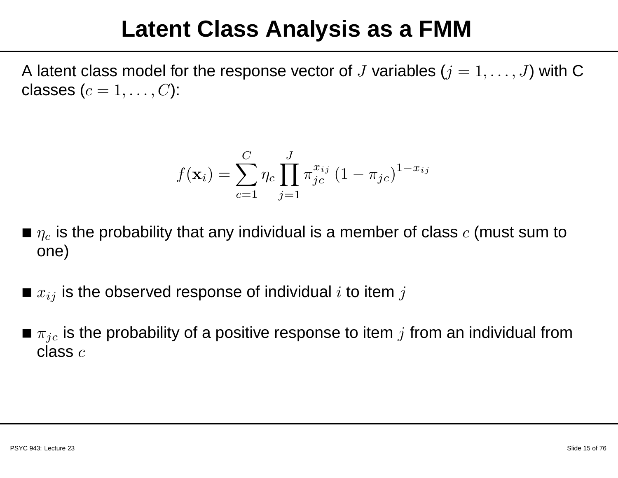#### **Latent Class Analysis as <sup>a</sup> FMM**

A latent class model for the response vector of  $J$  variables  $(j = 1, \ldots, J)$  with C classes  $(c=1,\ldots,C)$ :

$$
f(\mathbf{x}_i) = \sum_{c=1}^{C} \eta_c \prod_{j=1}^{J} \pi_{jc}^{x_{ij}} (1 - \pi_{jc})^{1 - x_{ij}}
$$

- $\blacksquare$   $\eta_c$  is the probability that any individual is a member of class  $c$  (must sum to one)
- $\blacksquare$   $x_{ij}$  is the observed response of individual  $i$  to item  $j$
- $\pi_{jc}$  is the probability of a positive response to item  $j$  from an individual from<br>class  $\varepsilon$ class  $c$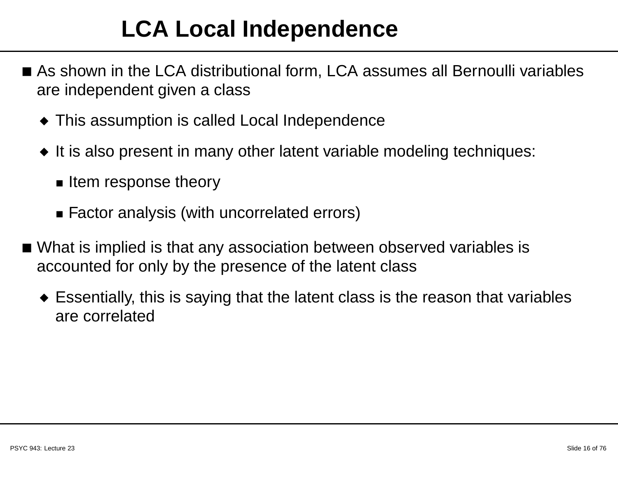#### **LCA Local Independence**

- $\blacksquare$  As shown in the LCA distributional form, LCA assumes all Bernoulli variables are independent given <sup>a</sup> class
	- $\blacklozenge$  This assumption is called Local Independence
	- ◆ It is also present in many other latent variable modeling techniques:
		- Item response theory
		- Factor analysis (with uncorrelated errors)
- What is implied is that any association between observed variables is accounted for only by the presence of the latent class
	- $\bullet\,$  Essentially, this is saying that the latent class is the reason that variables are correlated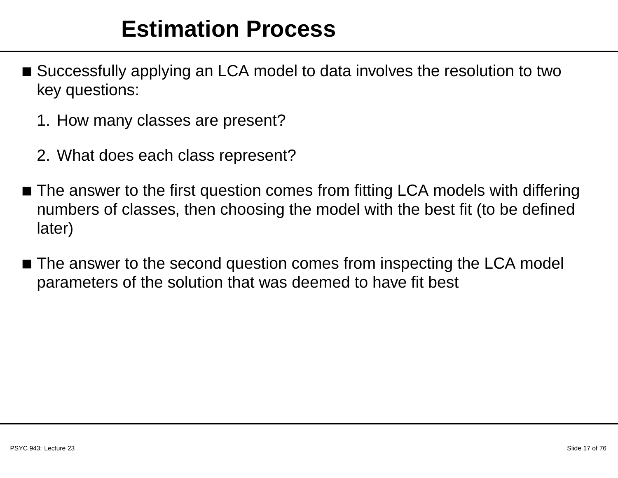#### **Estimation Process**

- $\blacksquare$  Successfully applying an LCA model to data involves the resolution to two key questions:
	- 1. How many classes are present?
	- 2. What does each class represent?
- $\blacksquare$  The answer to the first question comes from fitting LCA models with differing numbers of classes, then choosing the model with the best fit (to be definedlater)
- $\blacksquare$  The answer to the second question comes from inspecting the LCA model parameters of the solution that was deemed to have fit best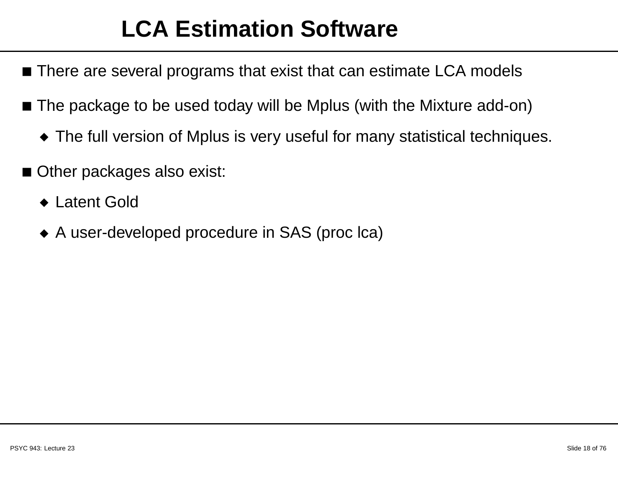#### **LCA Estimation Software**

- $\blacksquare$  There are several programs that exist that can estimate LCA models
- $\blacksquare$  The package to be used today will be Mplus (with the Mixture add-on)
	- $\blacklozenge$  The full version of Mplus is very useful for many statistical techniques.
- Other packages also exist:
	- ◆ Latent Gold
	- ◆ <sup>A</sup> user-developed procedure in SAS (proc lca)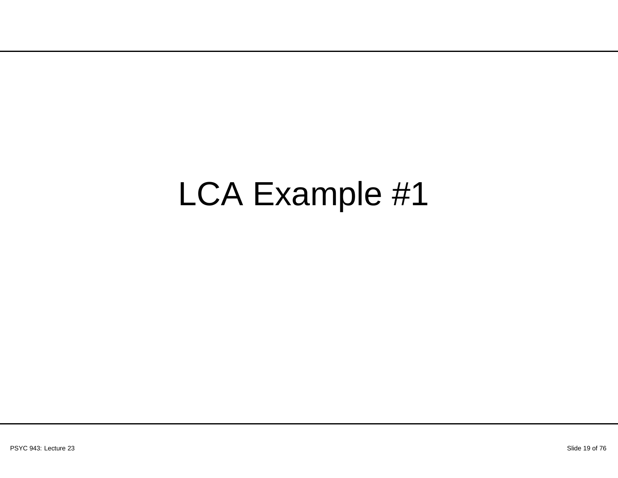# LCA Example #1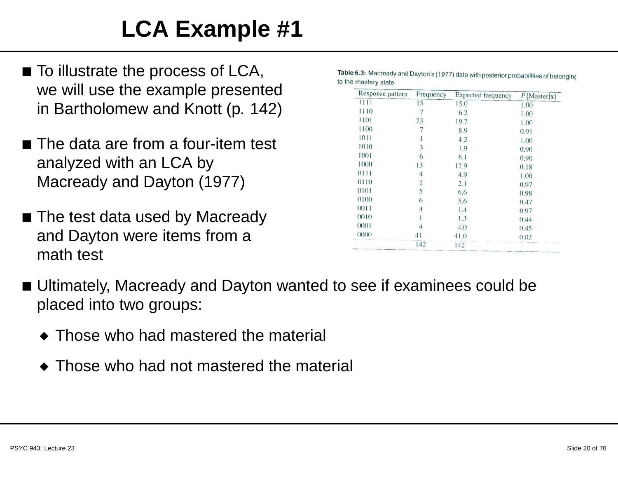## **LCA Example #1**

- $\blacksquare$  To illustrate the process of LCA, we will use the example presentedin Bartholomew and Knott (p. 142)
- $\blacksquare$  The data are from a four-item test analyzed with an LCA byMacready and Dayton (1977)
- The test data used by Macready and Dayton were items from <sup>a</sup>math test

| Response pattern | Frequency      | Expected frequency | $P$ {Master x} |
|------------------|----------------|--------------------|----------------|
| 1111             | 15             | 15.0               | 1.00           |
| 1110             | 7              | 6.2                | 1.00           |
| 1101             | 23             | 19.7               | 1.00           |
| 1100             |                | 8.9                | 0.91           |
| 1011             |                | 4.2                | 1.00           |
| 1010             | 3              | 1.9                | 0.90           |
| 1001             | 6              | 6.1                | 0.90           |
| 1000             | 13             | 12.9               | 0.18           |
| 0111             | $\overline{4}$ | 4.9                | 1.00           |
| 0110             | $\overline{2}$ | 2.1                | 0.97           |
| 0101             | 5              | 6.6                | 0.98           |
| 0100             | 6              | 5.6                | 0.47           |
| 0011             | 4              | 1.4                | 0.97           |
| 0010             |                | 1.3                | 0.44           |
| 0001             | 4              | 4.0                | 0.45           |
| 0000             |                | 41.0               | 0.02           |
|                  | 142            | 142                |                |

Table 6.3: Macready and Dayton's (1977) data with posterior probabilities of belonging to the mastery state

- Ultimately, Macready and Dayton wanted to see if examinees could beplaced into two groups:
	- ◆ Those who had mastered the material
	- $\blacklozenge$  Those who had not mastered the material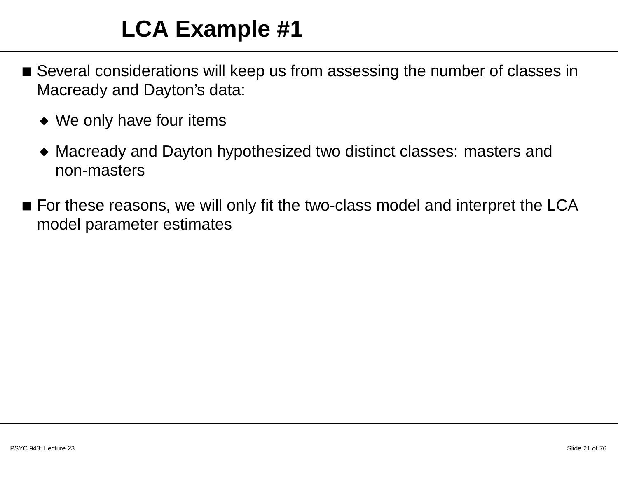#### **LCA Example #1**

- $\blacksquare$  Several considerations will keep us from assessing the number of classes in Macready and Dayton's data:
	- ◆ We only have four items
	- ◆ Macready and Dayton hypothesized two distinct classes: masters andnon-masters
- $\blacksquare$  For these reasons, we will only fit the two-class model and interpret the LCA model parameter estimates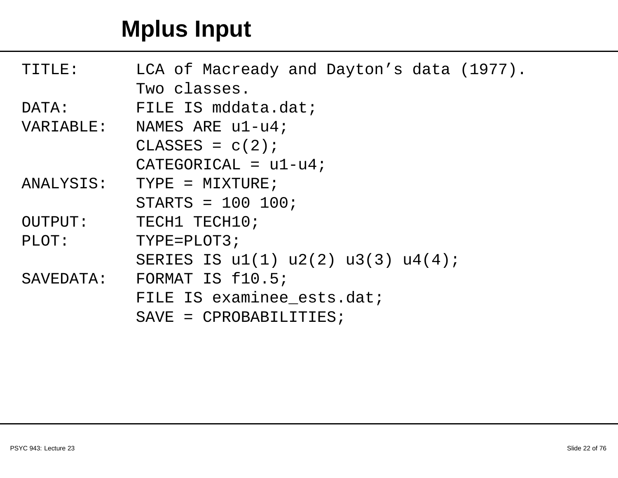#### **Mplus Input**

| TITLE:    | LCA of Macready and Dayton's data (1977).   |  |  |  |
|-----------|---------------------------------------------|--|--|--|
|           | Two classes.                                |  |  |  |
| DATA:     | FILE IS mddata.dat;                         |  |  |  |
| VARIABLE: | NAMES ARE $u1-u4$ ;                         |  |  |  |
|           | $CLASSES = c(2);$                           |  |  |  |
|           | $CATEGORICAL = u1-u4;$                      |  |  |  |
| ANALYSIS: | $TYPF = MIXTURE;$                           |  |  |  |
|           | $STARTS = 100 100;$                         |  |  |  |
| OUTPUT:   | TECH1 TECH10;                               |  |  |  |
| PLOT:     | $TYPF = PLOT3;$                             |  |  |  |
|           | SERIES IS $u1(1)$ $u2(2)$ $u3(3)$ $u4(4)$ ; |  |  |  |
| SAVEDATA: | FORMAT IS f10.5;                            |  |  |  |
|           | FILE IS examinee ests.dat;                  |  |  |  |
|           | $SAVE = CPROBABILITYIES$                    |  |  |  |
|           |                                             |  |  |  |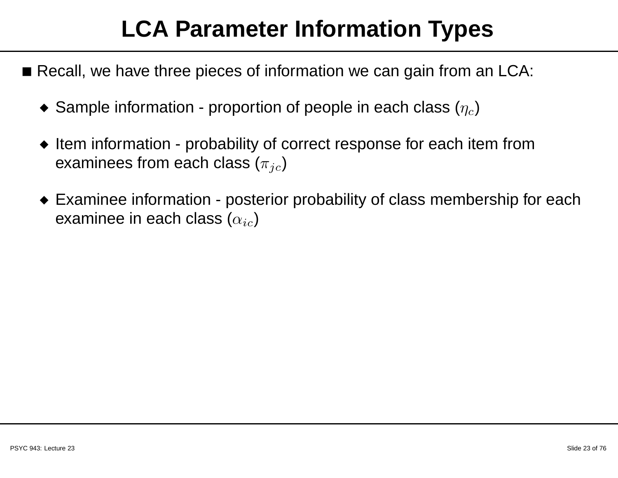#### **LCA Parameter Information Types**

- $\blacksquare$  Recall, we have three pieces of information we can gain from an LCA:
	- $\bullet\,$  Sample information proportion of people in each class  $(\eta_c)$
	- ◆ Item information probability of correct response for each item from examinees from each class  $(\pi_{ic})$
	- $\bullet\,$  Examinee information posterior probability of class membership for each examinee in each class  $(\alpha_{ic})$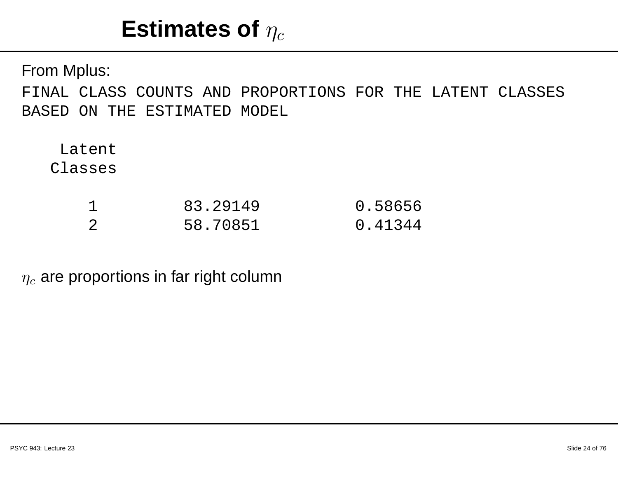#### $\boldsymbol{\mathsf{Estimates}}$  of  $\eta_c$

From Mplus: FINAL CLASS COUNTS AND PROPORTIONS FOR THE LATENT CLASSES BASED ON THE ESTIMATED MODEL

LatentClasses

|     | 83.29149 | 0.58656 |
|-----|----------|---------|
| - 2 | 58.70851 | 0.41344 |

 $\eta_c$  are proportions in far right column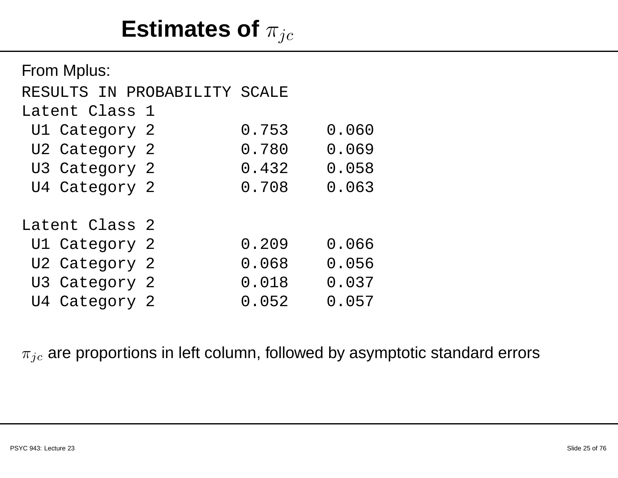## Estimates of  $\pi_{jc}$

| From Mplus:                  |       |       |
|------------------------------|-------|-------|
| RESULTS IN PROBABILITY SCALE |       |       |
| Latent Class 1               |       |       |
| Ul Category 2                | 0.753 | 0.060 |
| U2 Category 2                | 0.780 | 0.069 |
| U3 Category 2                | 0.432 | 0.058 |
| U4 Category 2                | 0.708 | 0.063 |
| Latent Class 2               |       |       |
| U1 Category 2                | 0.209 | 0.066 |
| U2 Category 2                | 0.068 | 0.056 |
| U3 Category 2                | 0.018 | 0.037 |
| U4 Category 2                | 0.052 | 0.057 |

#### $\pi_{jc}$  are proportions in left column, followed by asymptotic standard errors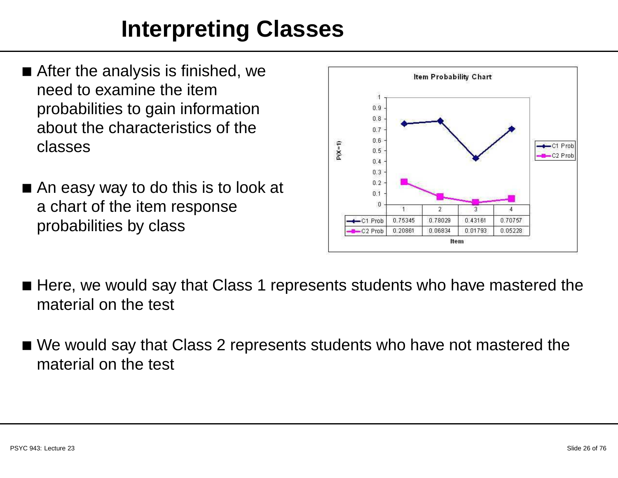#### **Interpreting Classes**

- $\blacksquare$  After the analysis is finished, we need to examine the item probabilities to gain information about the characteristics of theclasses
- An easy way to do this is to look at <sup>a</sup> chart of the item responseprobabilities by class



- $\blacksquare$  Here, we would say that Class 1 represents students who have mastered the material on the test
- $\blacksquare$  We would say that Class 2 represents students who have not mastered the material on the test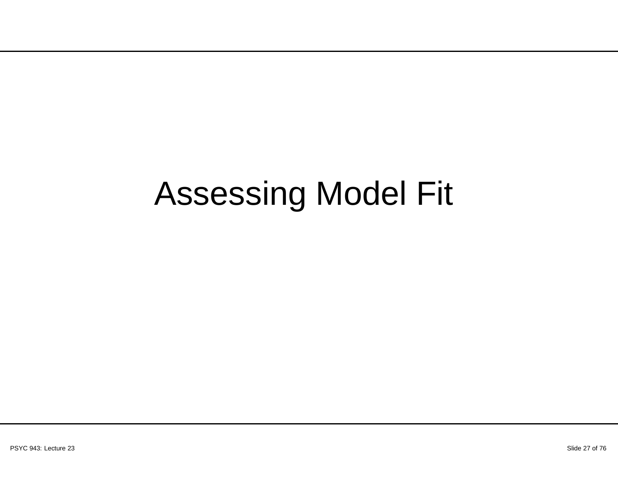# Assessing Model Fit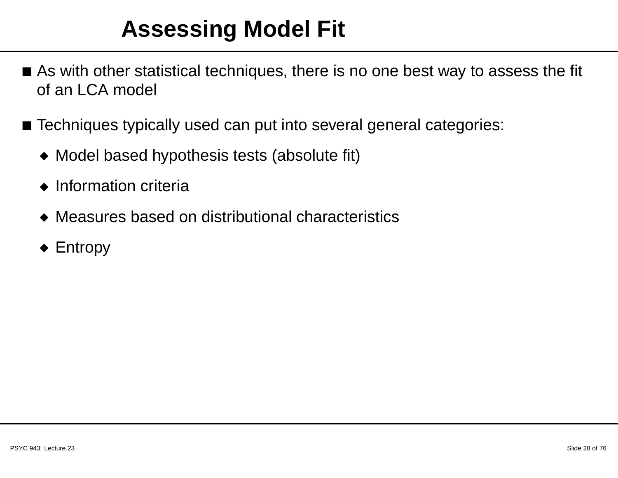#### **Assessing Model Fit**

- $\blacksquare$  As with other statistical techniques, there is no one best way to assess the fit of an LCA model
- $\blacksquare$  Techniques typically used can put into several general categories:
	- ◆ Model based hypothesis tests (absolute fit)
	- ◆ Information criteria
	- ◆ Measures based on distributional characteristics
	- ◆ Entropy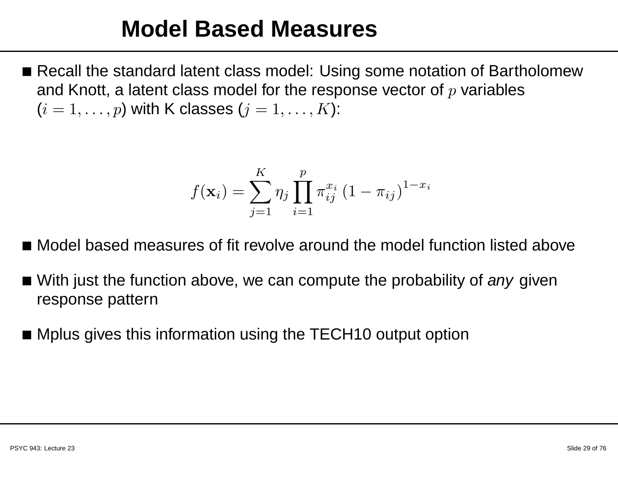#### **Model Based Measures**

■ Recall the standard latent class model: Using some notation of Bartholomew and Knott, a latent class model for the response vector of  $p$  variables  $(i=1,\ldots,p)$  with K classes  $(j=1,\ldots,K)$ :

$$
f(\mathbf{x}_i) = \sum_{j=1}^{K} \eta_j \prod_{i=1}^{p} \pi_{ij}^{x_i} (1 - \pi_{ij})^{1 - x_i}
$$

- Model based measures of fit revolve around the model function listed above
- With just the function above, we can compute the probability of *any* given response pattern
- Mplus gives this information using the TECH10 output option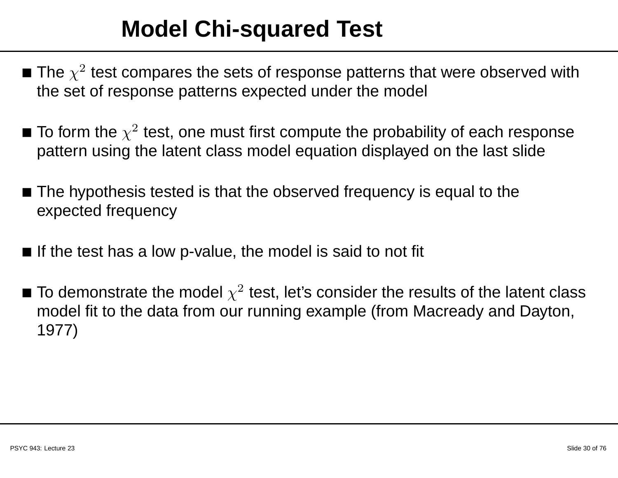#### **Model Chi-squared Test**

- The  $\chi^2$  test compares the sets of response patterns that were observed with the set of response patterns expected under the model
- To form the  $\chi^2$  test, one must first compute the probability of each response pattern using the latent class model equation displayed on the last slide
- $\blacksquare$  The hypothesis tested is that the observed frequency is equal to the expected frequency
- $\blacksquare$  If the test has a low p-value, the model is said to not fit
- $\blacksquare$  To demonstrate the model  $\chi^2$  test, let's consider the results of the latent class model fit to the data from our running example (from Macready and Dayton, 1977)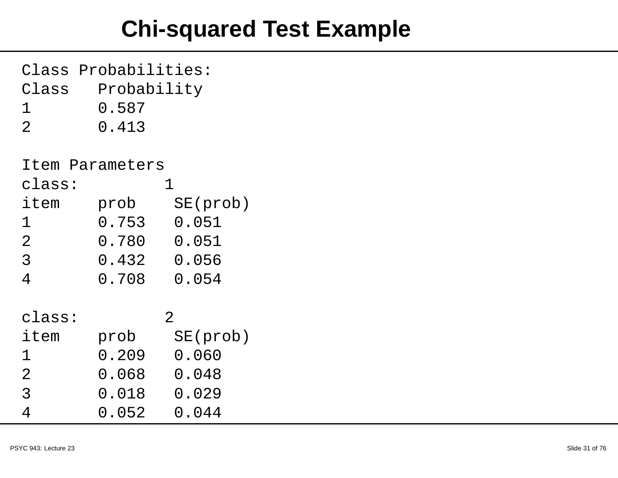#### **Chi-squared Test Example**

| Class Probabilities: |                 |                |  |  |
|----------------------|-----------------|----------------|--|--|
| Class<br>Probability |                 |                |  |  |
| 1                    | 0.587           |                |  |  |
| $\overline{2}$       | 0.413           |                |  |  |
|                      |                 |                |  |  |
|                      | Item Parameters |                |  |  |
| class:               |                 | 1              |  |  |
| item                 | prob            | SE(prob)       |  |  |
| 1                    | 0.753           | 0.051          |  |  |
| $\overline{2}$       | 0.780           | 0.051          |  |  |
| $\overline{3}$       | 0.432 0.056     |                |  |  |
| $\overline{4}$       | $0.708$ 0.054   |                |  |  |
|                      |                 |                |  |  |
| class:               |                 | $\overline{2}$ |  |  |
| item                 | prob            | SE(prob)       |  |  |
| 1                    | 0.209           | 0.060          |  |  |
| $\overline{2}$       | 0.068           | 0.048          |  |  |
| 3                    | 0.018           | 0.029          |  |  |
| 4                    | 0.052           | 0.044          |  |  |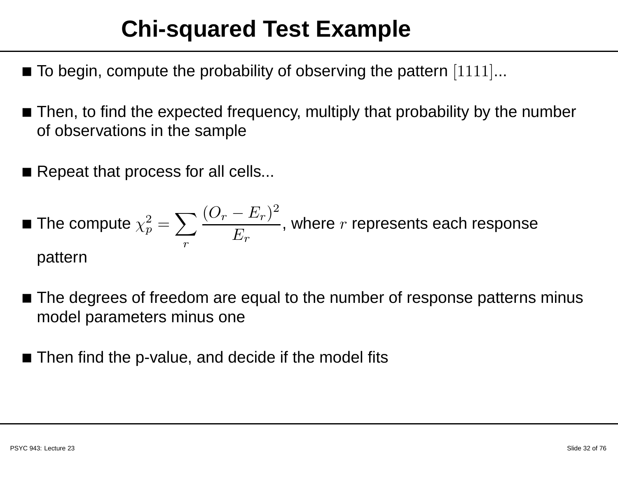#### **Chi-squared Test Example**

- $\blacksquare$  To begin, compute the probability of observing the pattern  $[1111]...$
- $\blacksquare$  Then, to find the expected frequency, multiply that probability by the number of observations in the sample
- $\blacksquare$  Repeat that process for all cells...

■ The compute 
$$
\chi_p^2 = \sum_r \frac{(O_r - E_r)^2}{E_r}
$$
, where *r* represents each response pattern

- $\blacksquare$  The degrees of freedom are equal to the number of response patterns minus model parameters minus one
- $\blacksquare$  Then find the p-value, and decide if the model fits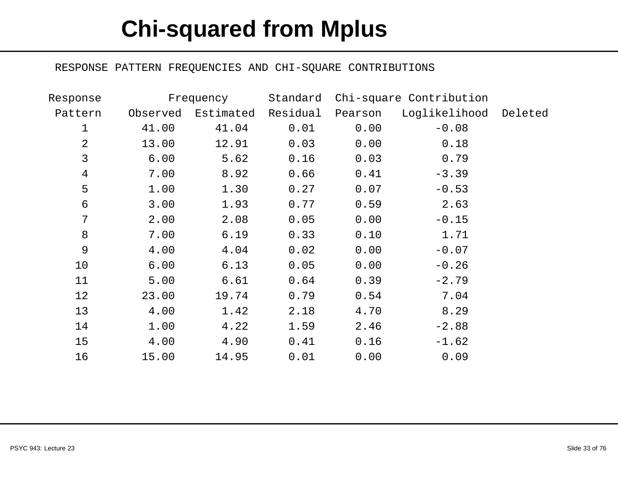#### **Chi-squared from Mplus**

#### RESPONSE PATTERN FREQUENCIES AND CHI-SQUARE CONTRIBUTIONS

| Response       |          | Frequency          | Standard |         | Chi-square Contribution |  |
|----------------|----------|--------------------|----------|---------|-------------------------|--|
| Pattern        | Observed | Estimated Residual |          | Pearson | Loglikelihood Deleted   |  |
| 1              | 41.00    | 41.04              | 0.01     | 0.00    | $-0.08$                 |  |
| $\overline{2}$ | 13.00    | 12.91              | 0.03     | 0.00    | 0.18                    |  |
| 3              | 6.00     | 5.62               | 0.16     | 0.03    | 0.79                    |  |
| 4              | 7.00     | 8.92               | 0.66     | 0.41    | $-3.39$                 |  |
| 5              | 1.00     | 1.30               | 0.27     | 0.07    | $-0.53$                 |  |
| 6              | 3.00     | 1.93               | 0.77     | 0.59    | 2.63                    |  |
| 7              | 2.00     | 2.08               | 0.05     | 0.00    | $-0.15$                 |  |
| 8              | 7.00     | 6.19               | 0.33     | 0.10    | 1.71                    |  |
| 9              | 4.00     | 4.04               | 0.02     | 0.00    | $-0.07$                 |  |
| 10             | 6.00     | 6.13               | 0.05     | 0.00    | $-0.26$                 |  |
| 11             | 5.00     | 6.61               | 0.64     | 0.39    | $-2.79$                 |  |
| 12             | 23.00    | 19.74              | 0.79     | 0.54    | 7.04                    |  |
| 13             | 4.00     | 1.42               | 2.18     | 4.70    | 8.29                    |  |
| 14             | 1.00     | 4.22               | 1.59     | 2.46    | $-2.88$                 |  |
| 15             | 4.00     | 4.90               | 0.41     | 0.16    | $-1.62$                 |  |
| 16             | 15.00    | 14.95              | 0.01     | 0.00    | 0.09                    |  |
|                |          |                    |          |         |                         |  |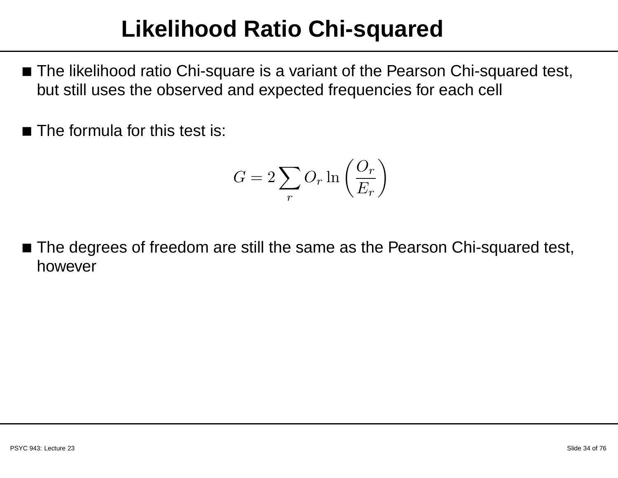#### **Likelihood Ratio Chi-squared**

- The likelihood ratio Chi-square is <sup>a</sup> variant of the Pearson Chi-squared test, but still uses the observed and expected frequencies for each cell
- $\blacksquare$  The formula for this test is:

$$
G = 2\sum_{r} O_r \ln\left(\frac{O_r}{E_r}\right)
$$

 $\blacksquare$  The degrees of freedom are still the same as the Pearson Chi-squared test, however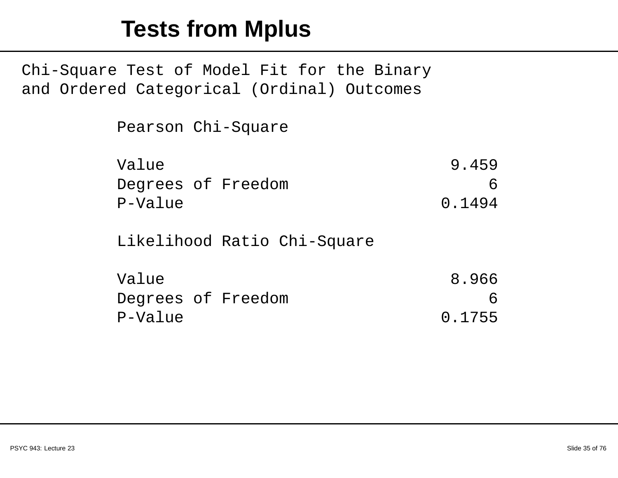#### **Tests from Mplus**

Chi-Square Test of Model Fit for the Binary and Ordered Categorical (Ordinal) Outcomes

| Pearson Chi-Square |        |
|--------------------|--------|
| Value              | 9.459  |
| Degrees of Freedom | h      |
| P-Value            | 0.1494 |
|                    |        |

Likelihood Ratio Chi-Square

| Value   |                    | 8.966  |
|---------|--------------------|--------|
|         | Degrees of Freedom | 6      |
| P-Value |                    | 0.1755 |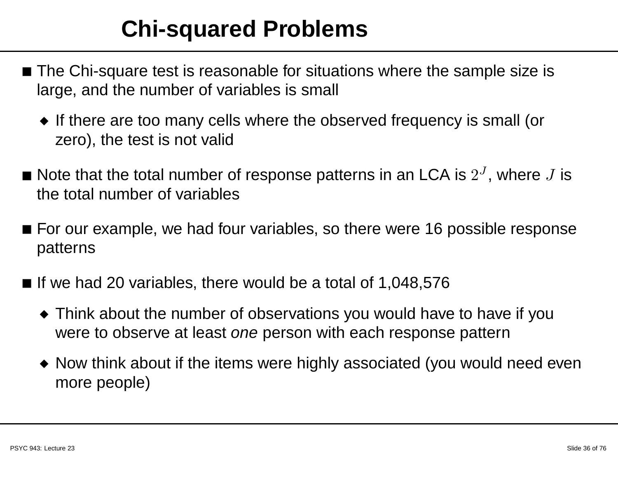#### **Chi-squared Problems**

- The Chi-square test is reasonable for situations where the sample size is large, and the number of variables is small
	- ◆ If there are too many cells where the observed frequency is small (or zero), the test is not valid
- Note that the total number of response patterns in an LCA is  $2^J$ , where  $J$  is the total number of variables
- $\blacksquare$  For our example, we had four variables, so there were 16 possible response patterns
- If we had 20 variables, there would be a total of 1,048,576
	- ◆ Think about the number of observations you would have to have if you were to observe at least *one* person with each response pattern
	- $\bullet\,$  Now think about if the items were highly associated (you would need even more people)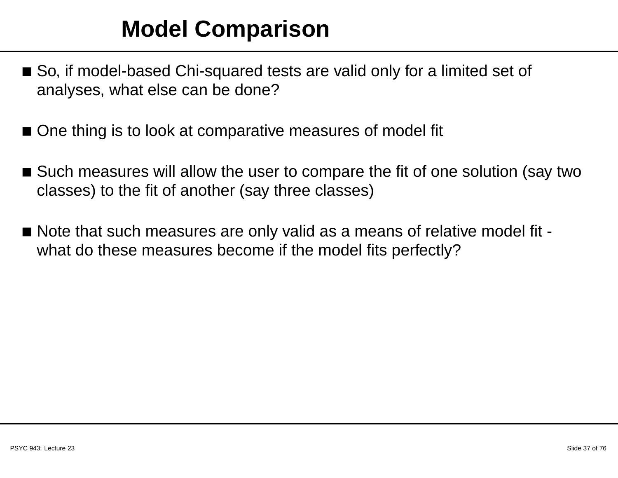## **Model Comparison**

- So, if model-based Chi-squared tests are valid only for <sup>a</sup> limited set of analyses, what else can be done?
- One thing is to look at comparative measures of model fit
- $\blacksquare$  Such measures will allow the user to compare the fit of one solution (say two classes) to the fit of another (say three classes)
- $\blacksquare$  Note that such measures are only valid as a means of relative model fit what do these measures become if the model fits perfectly?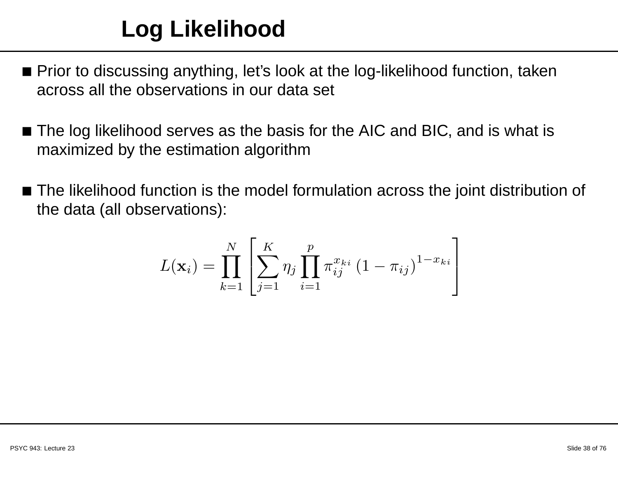## **Log Likelihood**

- $\blacksquare$  Prior to discussing anything, let's look at the log-likelihood function, taken across all the observations in our data set
- The log likelihood serves as the basis for the AIC and BIC, and is what is maximized by the estimation algorithm
- The likelihood function is the model formulation across the joint distribution of the data (all observations):

$$
L(\mathbf{x}_{i}) = \prod_{k=1}^{N} \left[ \sum_{j=1}^{K} \eta_{j} \prod_{i=1}^{p} \pi_{ij}^{x_{ki}} (1 - \pi_{ij})^{1 - x_{ki}} \right]
$$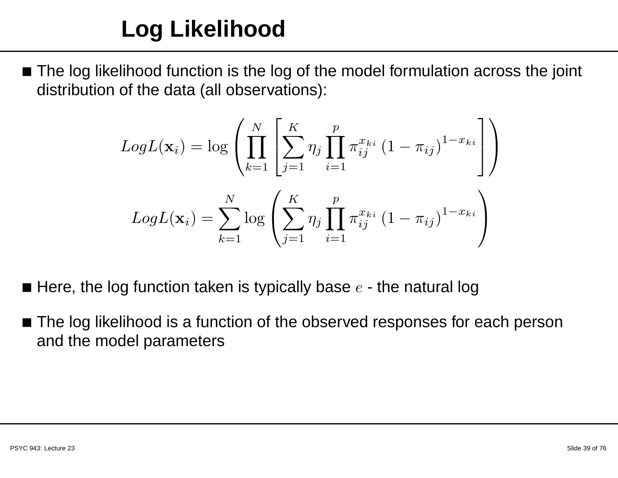$\blacksquare$  The log likelihood function is the log of the model formulation across the joint distribution of the data (all observations):

$$
LogL(\mathbf{x}_i) = log\left(\prod_{k=1}^N \left[\sum_{j=1}^K \eta_j \prod_{i=1}^p \pi_{ij}^{x_{ki}} (1 - \pi_{ij})^{1 - x_{ki}}\right]\right)
$$

$$
LogL(\mathbf{x}_i) = \sum_{k=1}^N log\left(\sum_{j=1}^K \eta_j \prod_{i=1}^p \pi_{ij}^{x_{ki}} (1 - \pi_{ij})^{1 - x_{ki}}\right)
$$

- $\blacksquare$  Here, the log function taken is typically base  $e$  the natural log
- ■ The log likelihood is <sup>a</sup> function of the observed responses for each personand the model parameters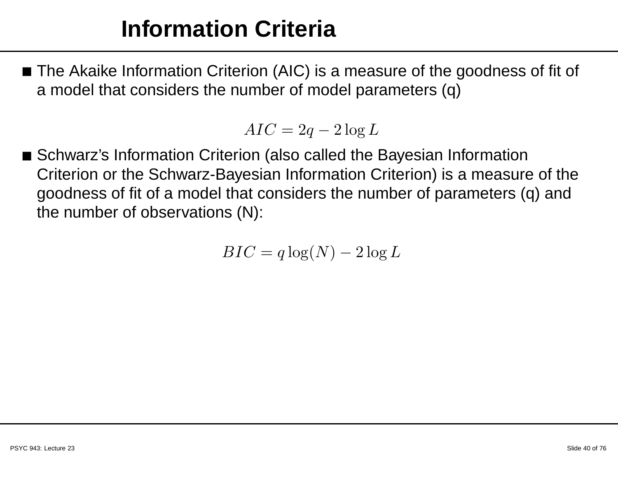### **Information Criteria**

 $\blacksquare$  The Akaike Information Criterion (AIC) is a measure of the goodness of fit of <sup>a</sup> model that considers the number of model parameters (q)

$$
AIC = 2q - 2\log L
$$

■ Schwarz's Information Criterion (also called the Bayesian Information Criterion or the Schwarz-Bayesian Information Criterion) is <sup>a</sup> measure of the goodness of fit of <sup>a</sup> model that considers the number of parameters (q) andthe number of observations (N):

$$
BIC = q \log(N) - 2 \log L
$$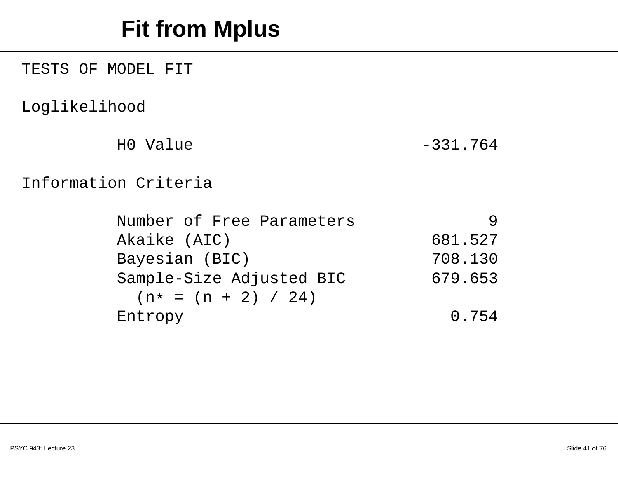## **Fit from Mplus**

TESTS OF MODEL FIT

Loglikelihood

H0 Value -331.764

#### Information Criteria

| Number of Free Parameters |         |
|---------------------------|---------|
| Akaike (AIC)              | 681.527 |
| Bayesian (BIC)            | 708.130 |
| Sample-Size Adjusted BIC  | 679.653 |
| $(n* = (n + 2) / 24)$     |         |
| Entropy                   | 0.754   |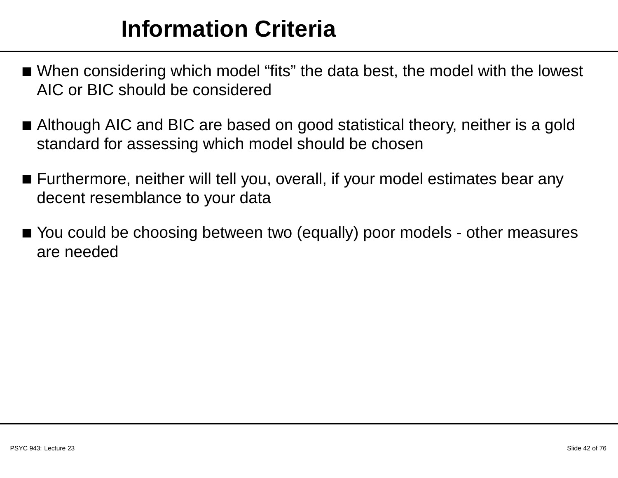## **Information Criteria**

- $\blacksquare$  When considering which model "fits" the data best, the model with the lowest AIC or BIC should be considered
- $\blacksquare$  Although AIC and BIC are based on good statistical theory, neither is a gold standard for assessing which model should be chosen
- $\blacksquare$  Furthermore, neither will tell you, overall, if your model estimates bear any decent resemblance to your data
- You could be choosing between two (equally) poor models other measuresare needed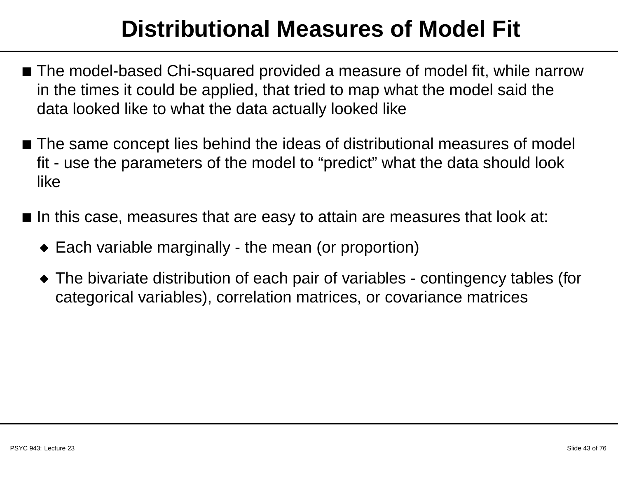## **Distributional Measures of Model Fit**

- $\blacksquare$  The model-based Chi-squared provided a measure of model fit, while narrow in the times it could be applied, that tried to map what the model said thedata looked like to what the data actually looked like
- $\blacksquare$  The same concept lies behind the ideas of distributional measures of model fit - use the parameters of the model to "predict" what the data should look like
- $\blacksquare$  In this case, measures that are easy to attain are measures that look at:
	- ◆ Each variable marginally the mean (or proportion)
	- ◆ The bivariate distribution of each pair of variables contingency tables (for categorical variables), correlation matrices, or covariance matrices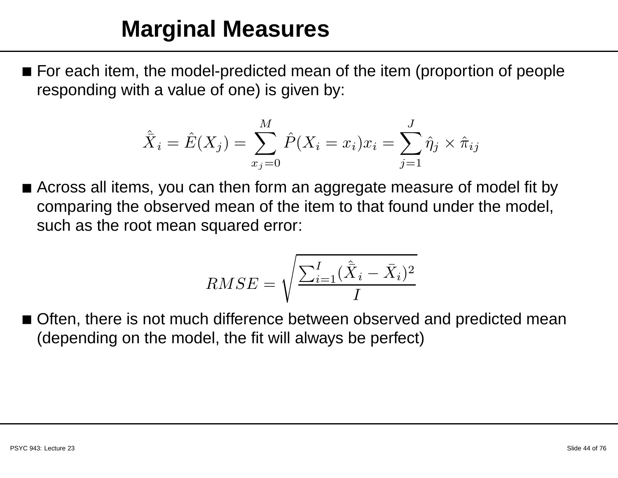#### **Marginal Measures**

 $\blacksquare$  For each item, the model-predicted mean of the item (proportion of people responding with <sup>a</sup> value of one) is given by:

$$
\hat{\bar{X}}_i = \hat{E}(X_j) = \sum_{x_j=0}^{M} \hat{P}(X_i = x_i)x_i = \sum_{j=1}^{J} \hat{\eta}_j \times \hat{\pi}_{ij}
$$

 $\blacksquare$  Across all items, you can then form an aggregate measure of model fit by comparing the observed mean of the item to that found under the model, such as the root mean squared error:

$$
RMSE = \sqrt{\frac{\sum_{i=1}^{I} (\hat{\bar{X}}_i - \bar{X}_i)^2}{I}}
$$

 $\blacksquare$  Often, there is not much difference between observed and predicted mean (depending on the model, the fit will always be perfect)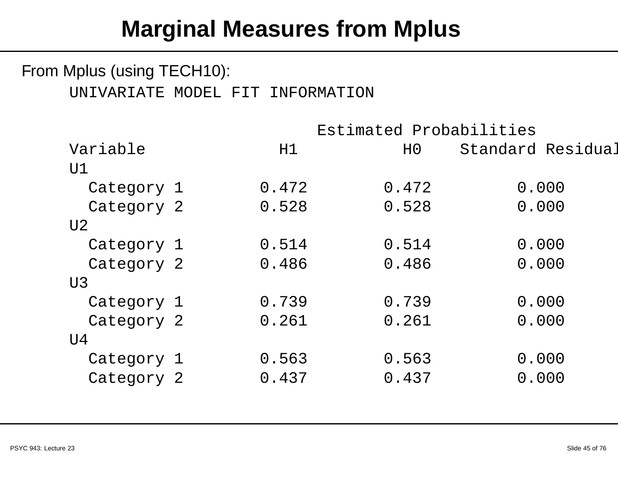#### From Mplus (using TECH10):

#### UNIVARIATE MODEL FIT INFORMATION

|            | Estimated Probabilities |                |                   |
|------------|-------------------------|----------------|-------------------|
| Variable   | H1                      | H <sub>0</sub> | Standard Residual |
| U1         |                         |                |                   |
| Category 1 | 0.472                   | 0.472          | 0.000             |
| Category 2 | 0.528                   | 0.528          | 0.000             |
| U2         |                         |                |                   |
| Category 1 | 0.514                   | 0.514          | 0.000             |
| Category 2 | 0.486                   | 0.486          | 0.000             |
| U3         |                         |                |                   |
| Category 1 | 0.739                   | 0.739          | 0.000             |
| Category 2 | 0.261                   | 0.261          | 0.000             |
| U4         |                         |                |                   |
| Category 1 | 0.563                   | 0.563          | 0.000             |
| Category 2 | 0.437                   | 0.437          | 0.000             |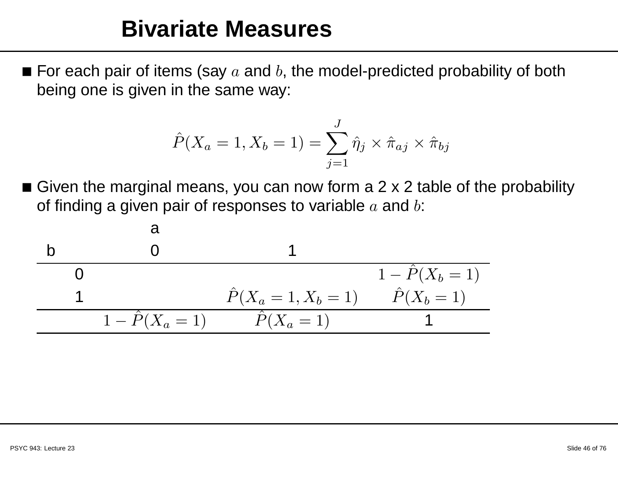#### **Bivariate Measures**

 $\blacksquare$  For each pair of items (say  $a$  and  $b$ , the model-predicted probability of both being one is given in the same way:

$$
\hat{P}(X_a = 1, X_b = 1) = \sum_{j=1}^{J} \hat{\eta}_j \times \hat{\pi}_{aj} \times \hat{\pi}_{bj}
$$

 $\blacksquare$  Given the marginal means, you can now form a 2 x 2 table of the probability of finding a given pair of responses to variable  $a$  and  $b\mathrm{:}$ 

| a                    |                             |                    |
|----------------------|-----------------------------|--------------------|
| b                    | 0                           |                    |
| 1                    | $\hat{P}(X_a = 1, X_b = 1)$ | $\hat{P}(X_b = 1)$ |
| 1 - \hat{P}(X_a = 1) | $\hat{P}(X_a = 1)$          | $\hat{P}(X_b = 1)$ |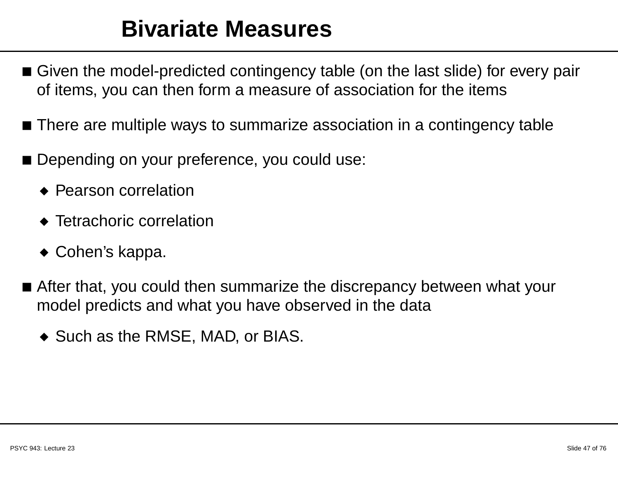#### **Bivariate Measures**

- $\blacksquare$  Given the model-predicted contingency table (on the last slide) for every pair of items, you can then form <sup>a</sup> measure of association for the items
- $\blacksquare$  There are multiple ways to summarize association in a contingency table
- Depending on your preference, you could use:
	- ◆ Pearson correlation
	- ◆ Tetrachoric correlation
	- ◆ Cohen's kappa.
- $\blacksquare$  After that, you could then summarize the discrepancy between what your model predicts and what you have observed in the data
	- ◆ Such as the RMSE, MAD, or BIAS.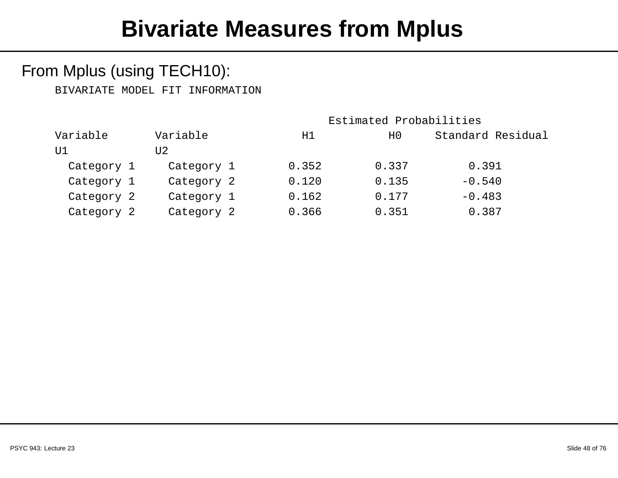#### From Mplus (using TECH10):

BIVARIATE MODEL FIT INFORMATION

|                      |       | Estimated Probabilities |                   |  |  |
|----------------------|-------|-------------------------|-------------------|--|--|
| Variable<br>Variable |       | H <sub>0</sub>          | Standard Residual |  |  |
| U2                   |       |                         |                   |  |  |
| Category 1           | 0.352 | 0.337                   | 0.391             |  |  |
| Category 2           | 0.120 | 0.135                   | $-0.540$          |  |  |
| Category 1           | 0.162 | 0.177                   | $-0.483$          |  |  |
| Category 2           | 0.366 | 0.351                   | 0.387             |  |  |
|                      |       | H1                      |                   |  |  |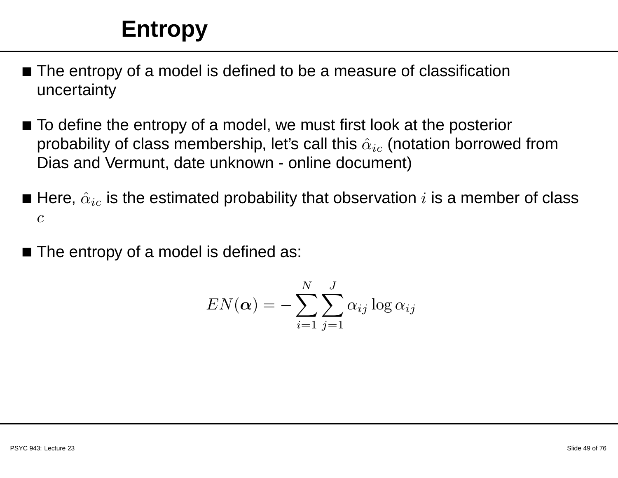## **Entropy**

- $\blacksquare$  The entropy of a model is defined to be a measure of classification uncertainty
- $\blacksquare$  To define the entropy of a model, we must first look at the posterior probability of class membership, let's call this  $\hat{\alpha}_{ic}$  (notation borrowed from Dias and Vermunt, date unknown - online document)
- $\blacksquare$  Here,  $\hat{\alpha}_{ic}$  is the estimated probability that observation  $i$  is a member of class c
- $\blacksquare$  The entropy of a model is defined as:

$$
EN(\boldsymbol{\alpha}) = -\sum_{i=1}^N \sum_{j=1}^J \alpha_{ij} \log \alpha_{ij}
$$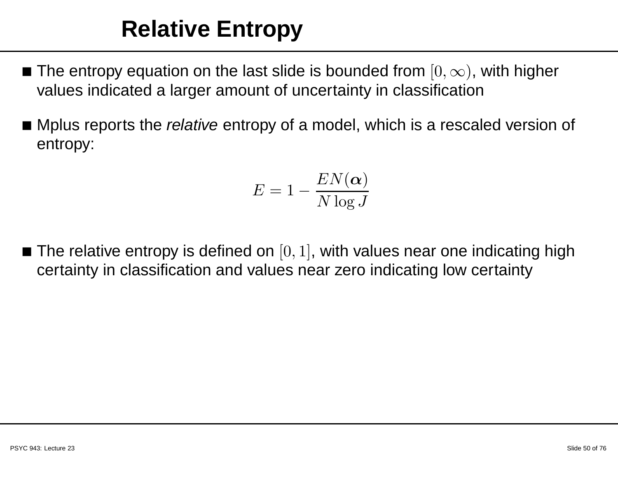## **Relative Entropy**

- The entropy equation on the last slide is bounded from  $[0, \infty)$ , with higher<br>by alues indicated a larger amount of uncertainty in eleccification values indicated <sup>a</sup> larger amount of uncertainty in classification
- $\blacksquare$  Mplus reports the *relative* entropy of a model, which is a rescaled version of entropy:

$$
E = 1 - \frac{EN(\alpha)}{N \log J}
$$

 $\blacksquare$  The relative entropy is defined on  $[0,1]$ , with values near one indicating high certainty in classification and values near zero indicating low certainty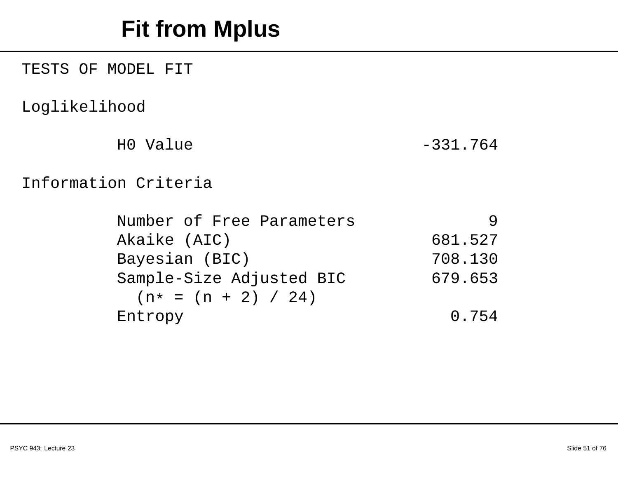## **Fit from Mplus**

TESTS OF MODEL FIT

Loglikelihood

H0 Value -331.764

#### Information Criteria

| Number of Free Parameters |         |
|---------------------------|---------|
| Akaike (AIC)              | 681.527 |
| Bayesian (BIC)            | 708.130 |
| Sample-Size Adjusted BIC  | 679.653 |
| $(n* = (n + 2) / 24)$     |         |
| Entropy                   | 0.754   |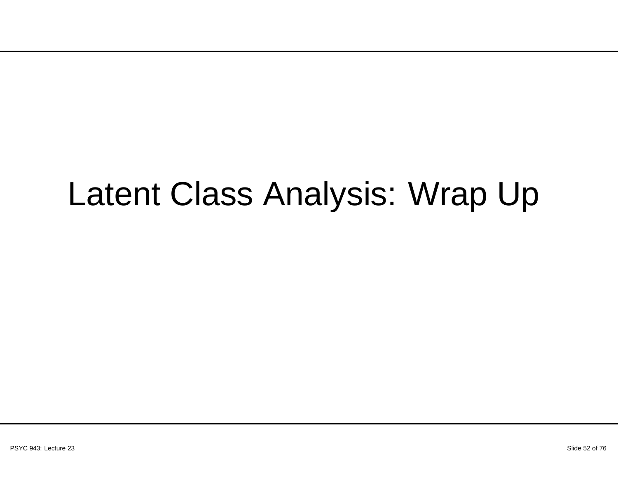# Latent Class Analysis: Wrap Up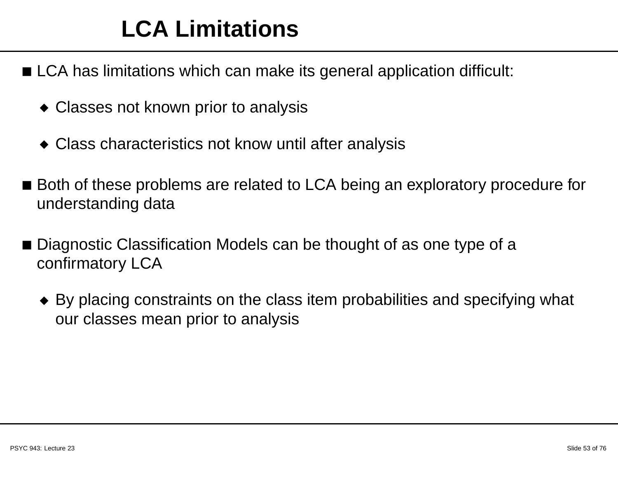## **LCA Limitations**

- $\blacksquare$  LCA has limitations which can make its general application difficult:
	- ◆ Classes not known prior to analysis
	- ◆ Class characteristics not know until after analysis
- Both of these problems are related to LCA being an exploratory procedure for understanding data
- Diagnostic Classification Models can be thought of as one type of a confirmatory LCA
	- $\bullet\,$  By placing constraints on the class item probabilities and specifying what our classes mean prior to analysis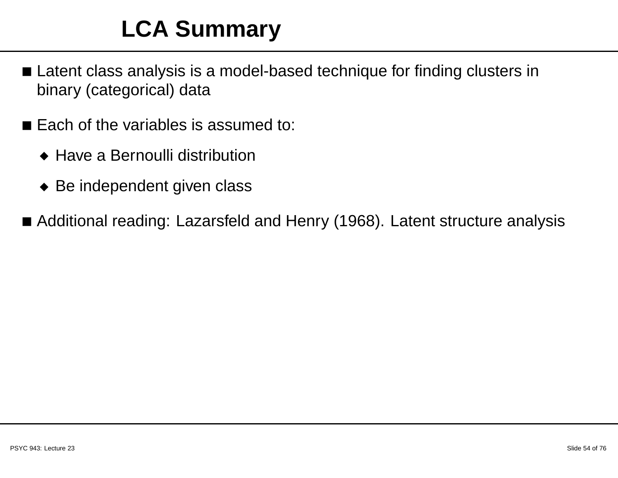## **LCA Summary**

- Latent class analysis is a model-based technique for finding clusters in binary (categorical) data
- Each of the variables is assumed to:
	- ◆ Have <sup>a</sup> Bernoulli distribution
	- ◆ Be independent given class
- Additional reading: Lazarsfeld and Henry (1968). Latent structure analysis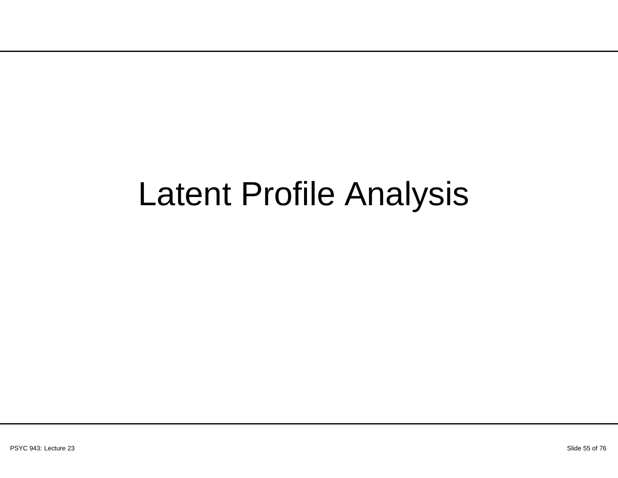# Latent Profile Analysis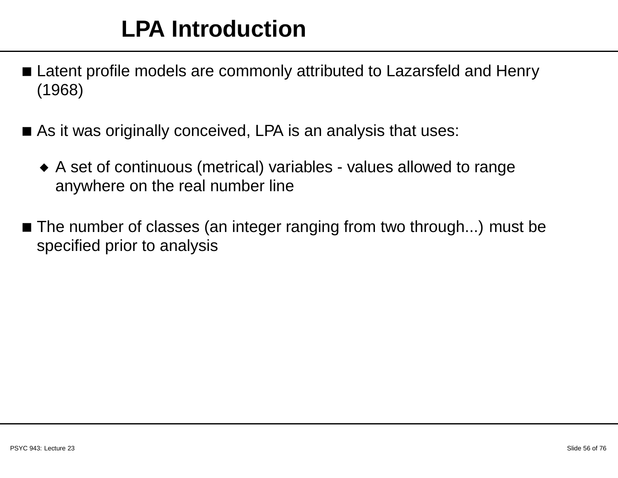- Latent profile models are commonly attributed to Lazarsfeld and Henry (1968)
- $\blacksquare$  As it was originally conceived, LPA is an analysis that uses:
	- ◆ <sup>A</sup> set of continuous (metrical) variables values allowed to range anywhere on the real number line
- $\blacksquare$  The number of classes (an integer ranging from two through...) must be specified prior to analysis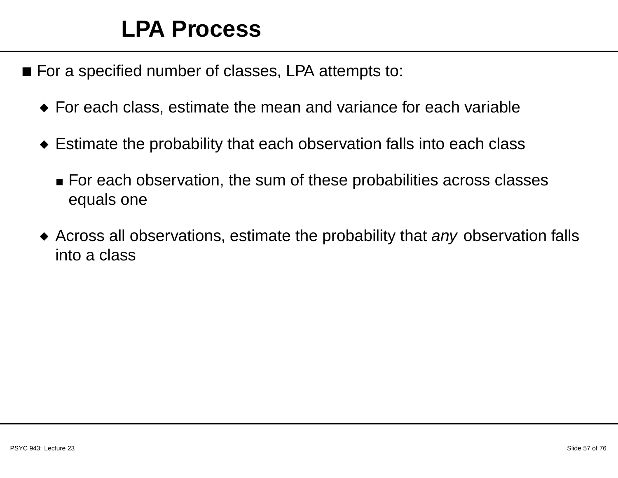#### **LPA Process**

- For <sup>a</sup> specified number of classes, LPA attempts to:
	- ◆ For each class, estimate the mean and variance for each variable
	- $\bullet$  Estimate the probability that each observation falls into each class
		- $\textcolor{red}{\bullet}$  For each observation, the sum of these probabilities across classes equals one
	- $\blacklozenge$  Across all observations, estimate the probability that any observation falls into <sup>a</sup> class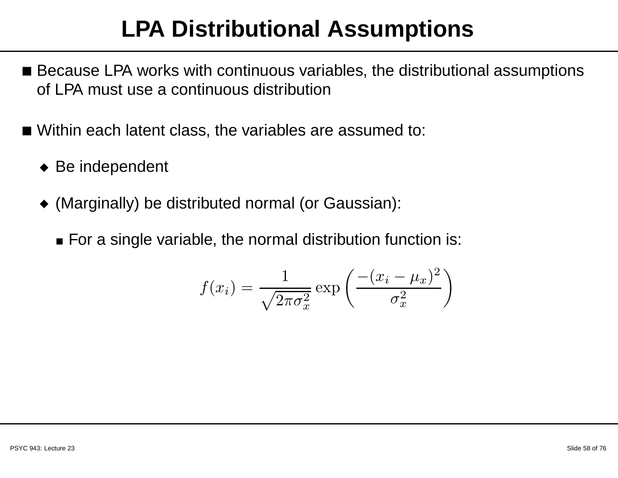## **LPA Distributional Assumptions**

- $\blacksquare$  Because LPA works with continuous variables, the distributional assumptions of LPA must use <sup>a</sup> continuous distribution
- Within each latent class, the variables are assumed to:
	- ◆ Be independent
	- ◆ (Marginally) be distributed normal (or Gaussian):
		- $\bullet$  For a single variable, the normal distribution function is:

$$
f(x_i) = \frac{1}{\sqrt{2\pi\sigma_x^2}} \exp\left(\frac{-(x_i - \mu_x)^2}{\sigma_x^2}\right)
$$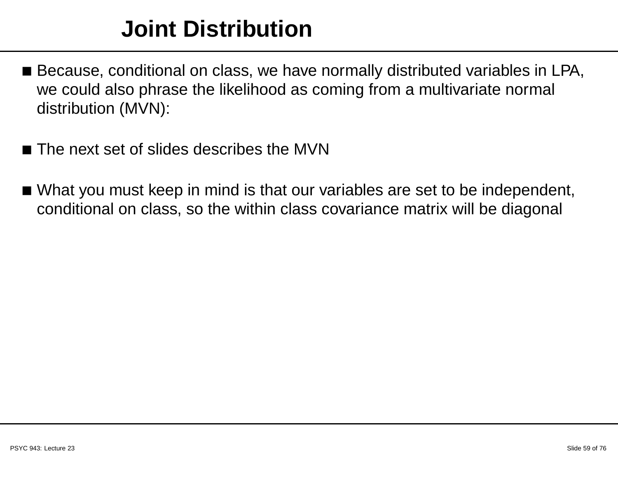### **Joint Distribution**

- $\blacksquare$  Because, conditional on class, we have normally distributed variables in LPA, we could also phrase the likelihood as coming from <sup>a</sup> multivariate normal distribution (MVN):
- $\blacksquare$  The next set of slides describes the MVN
- $\blacksquare$  What you must keep in mind is that our variables are set to be independent, conditional on class, so the within class covariance matrix will be diagonal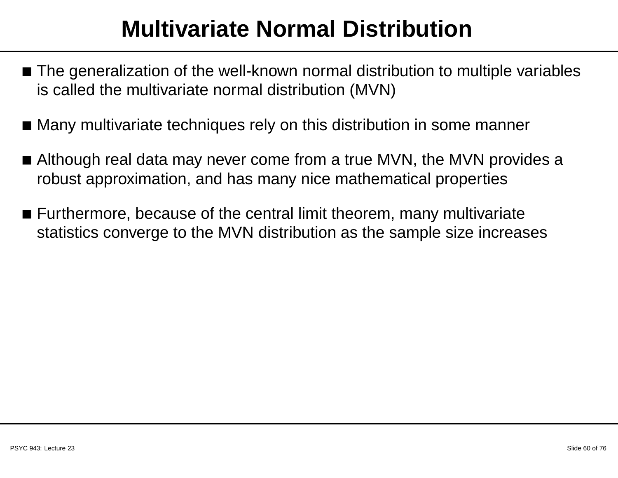## **Multivariate Normal Distribution**

- $\blacksquare$  The generalization of the well-known normal distribution to multiple variables is called the multivariate normal distribution (MVN)
- Many multivariate techniques rely on this distribution in some manner
- $\blacksquare$  Although real data may never come from a true MVN, the MVN provides a robust approximation, and has many nice mathematical properties
- $\blacksquare$  Furthermore, because of the central limit theorem, many multivariate statistics converge to the MVN distribution as the sample size increases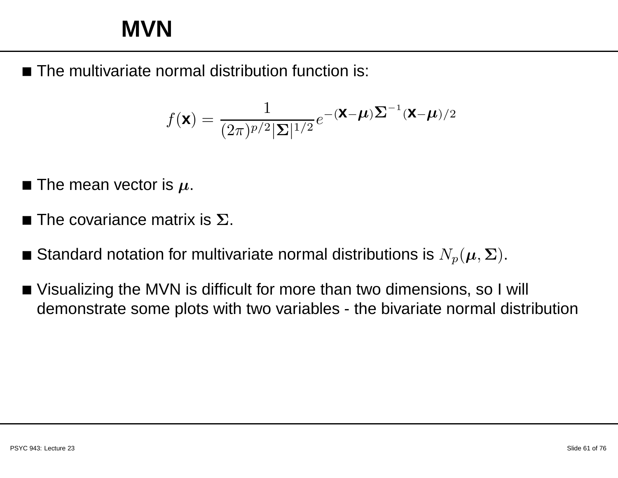#### **MVN**

■ The multivariate normal distribution function is:

$$
f(\mathbf{x}) = \frac{1}{(2\pi)^{p/2} |\Sigma|^{1/2}} e^{-\left(\mathbf{x} - \boldsymbol{\mu}\right) \Sigma^{-1} (\mathbf{x} - \boldsymbol{\mu})/2}
$$

- $\blacksquare$  The mean vector is  $\mu.$
- $\blacksquare$  The covariance matrix is  $\Sigma.$
- Standard notation for multivariate normal distributions is  $N_p(\boldsymbol{\mu}, \boldsymbol{\Sigma})$ .
- Visualizing the MVN is difficult for more than two dimensions, so <sup>I</sup> will demonstrate some plots with two variables - the bivariate normal distribution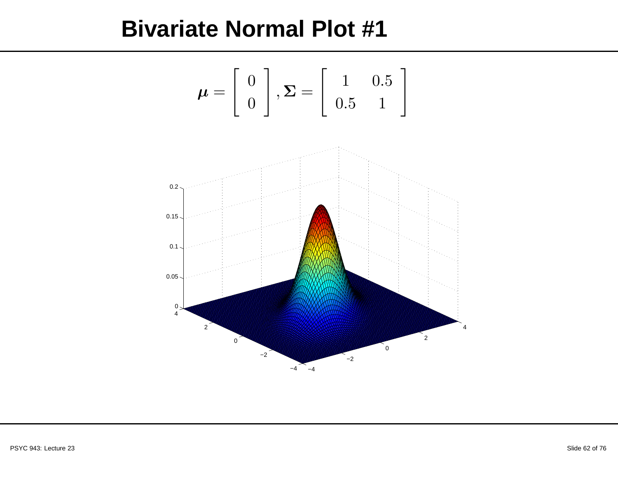#### **Bivariate Normal Plot #1**

$$
\boldsymbol{\mu} = \left[ \begin{array}{c} 0 \\ 0 \end{array} \right], \boldsymbol{\Sigma} = \left[ \begin{array}{cc} 1 & 0.5 \\ 0.5 & 1 \end{array} \right]
$$

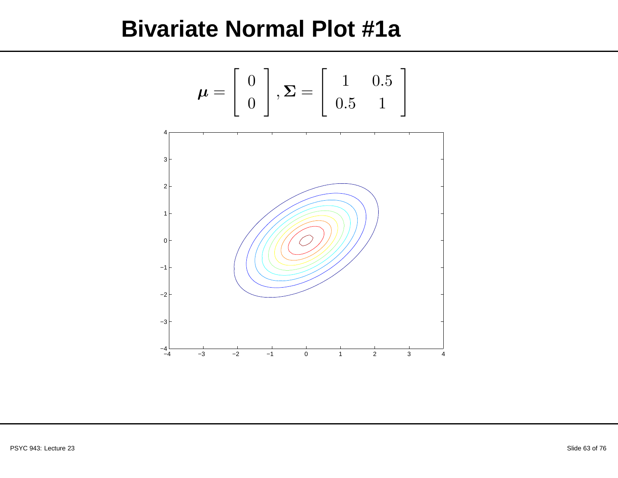#### **Bivariate Normal Plot #1a**

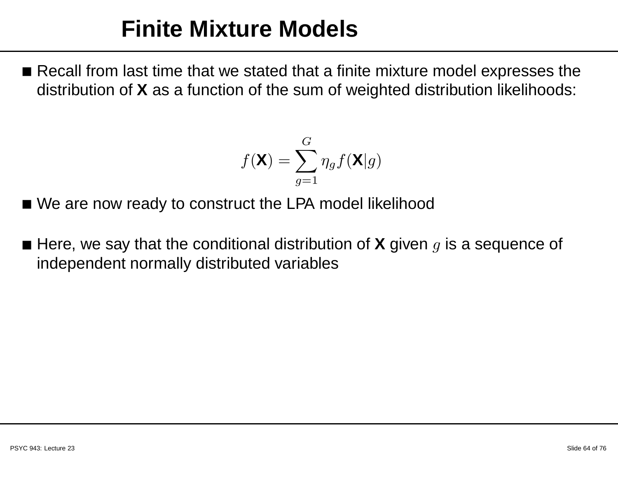#### **Finite Mixture Models**

 $\blacksquare$  Recall from last time that we stated that a finite mixture model expresses the distribution of **X** as <sup>a</sup> function of the sum of weighted distribution likelihoods:

$$
f(\mathbf{X}) = \sum_{g=1}^{G} \eta_g f(\mathbf{X}|g)
$$

- We are now ready to construct the LPA model likelihood
- Here, we say that the conditional distribution of **<sup>X</sup>** given <sup>g</sup> is <sup>a</sup> sequence of independent normally distributed variables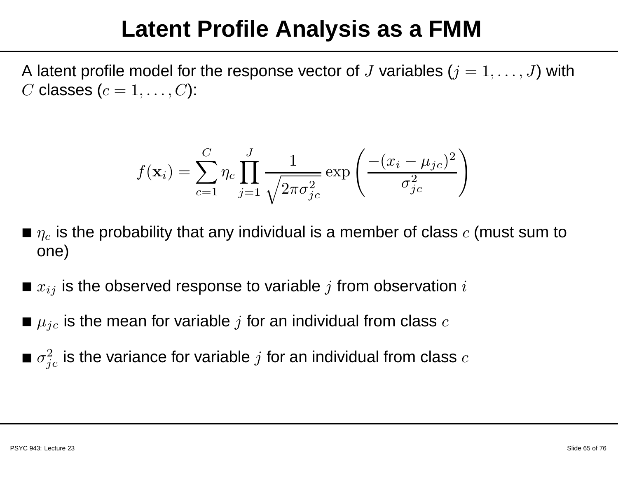### **Latent Profile Analysis as <sup>a</sup> FMM**

A latent profile model for the response vector of  $J$  variables  $(j = 1, \ldots, J)$  with  $C$  classes  $(c = 1, \ldots, C)$ :

$$
f(\mathbf{x}_i) = \sum_{c=1}^{C} \eta_c \prod_{j=1}^{J} \frac{1}{\sqrt{2\pi \sigma_{jc}^2}} \exp\left(\frac{-(x_i - \mu_{jc})^2}{\sigma_{jc}^2}\right)
$$

- $\blacksquare$   $\eta_c$  is the probability that any individual is a member of class  $c$  (must sum to one)
- $\bullet\,x_{ij}$  is the observed response to variable  $j$  from observation  $i$
- $\blacksquare$   $\mu_{jc}$  is the mean for variable  $j$  for an individual from class  $c$
- $\bullet$   $\sigma_{jc}^2$  is the variance for variable  $j$  for an individual from class  $c$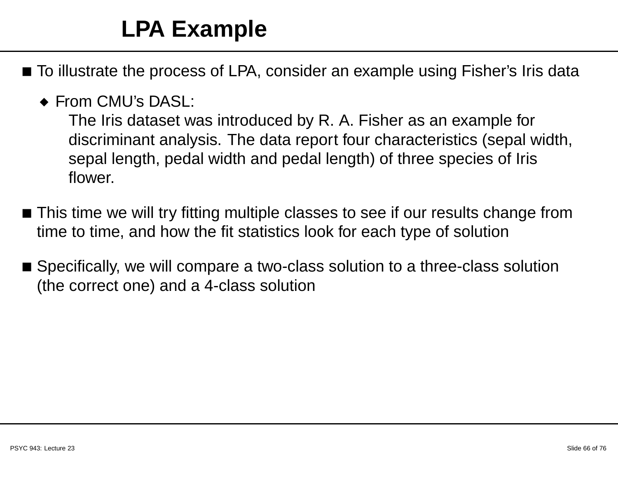## **LPA Example**

- $\blacksquare$  To illustrate the process of LPA, consider an example using Fisher's Iris data
	- ◆ From CMU's DASL:

The Iris dataset was introduced by R. A. Fisher as an example fordiscriminant analysis. The data report four characteristics (sepal width, sepal length, pedal width and pedal length) of three species of Iris flower.

- $\blacksquare$  This time we will try fitting multiple classes to see if our results change from time to time, and how the fit statistics look for each type of solution
- $\blacksquare$  Specifically, we will compare a two-class solution to a three-class solution (the correct one) and <sup>a</sup> 4-class solution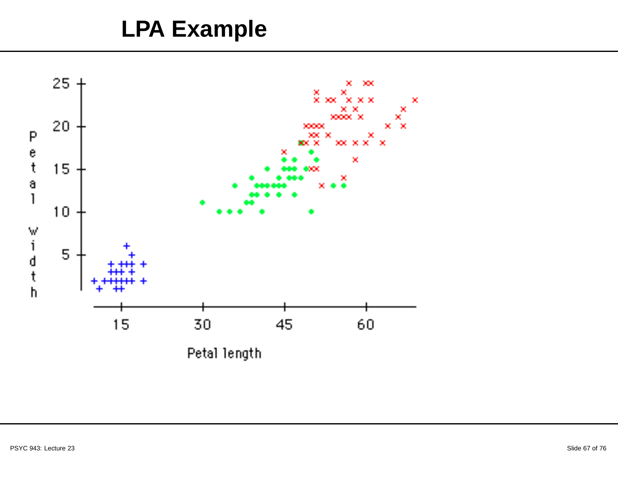#### **LPA Example**

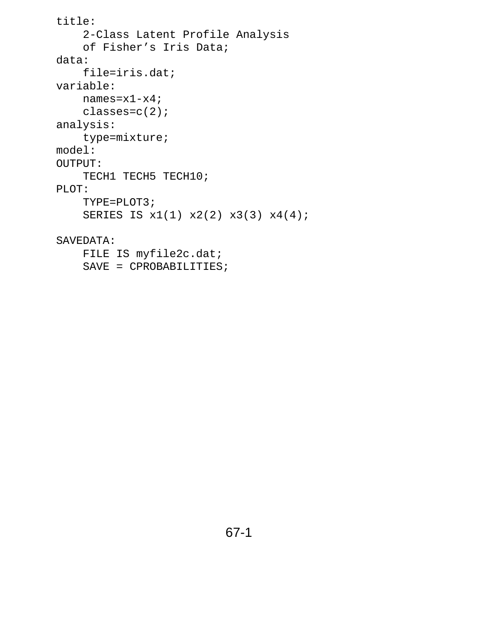```
title:
    2-Class Latent Profile Analysis
    of Fisher's Iris Data;
data:
    file=iris.dat;
variable:
   names=x1-x4;
   classes=c(2);
analysis:
    type=mixture;
model:
OUTPUT:
    TECH1 TECH5 TECH10;
PLOT:
    TYPE=PLOT3;
    SERIES IS x1(1) x2(2) x3(3) x4(4);
```

```
SAVEDATA:
```

```
FILE IS myfile2c.dat;
SAVE = CPROBABILITIES;
```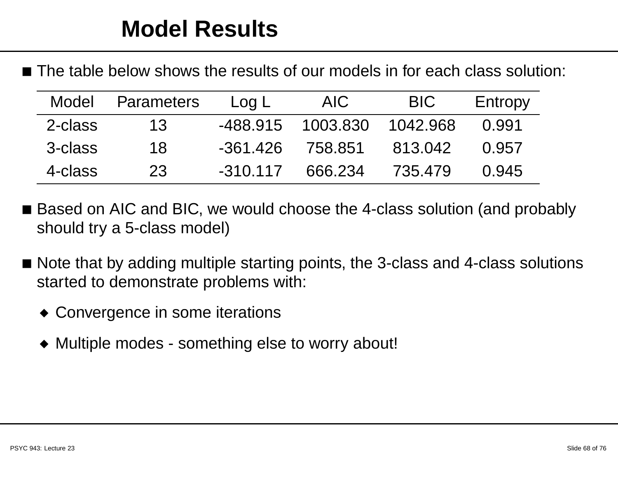$\blacksquare$  The table below shows the results of our models in for each class solution:

| Model   | <b>Parameters</b> | Log L      | AIC.     | <b>BIC</b> | Entropy |
|---------|-------------------|------------|----------|------------|---------|
| 2-class | 13                | -488.915   | 1003.830 | 1042.968   | O 991   |
| 3-class | 18                | $-361.426$ | 758.851  | 813.042    | 0.957   |
| 4-class | 23                | $-310.117$ | 666.234  | 735.479    | 0.945   |

- Based on AIC and BIC, we would choose the 4-class solution (and probably should try <sup>a</sup> 5-class model)
- $\blacksquare$  Note that by adding multiple starting points, the 3-class and 4-class solutions started to demonstrate problems with:
	- ◆ Convergence in some iterations
	- ◆ Multiple modes something else to worry about!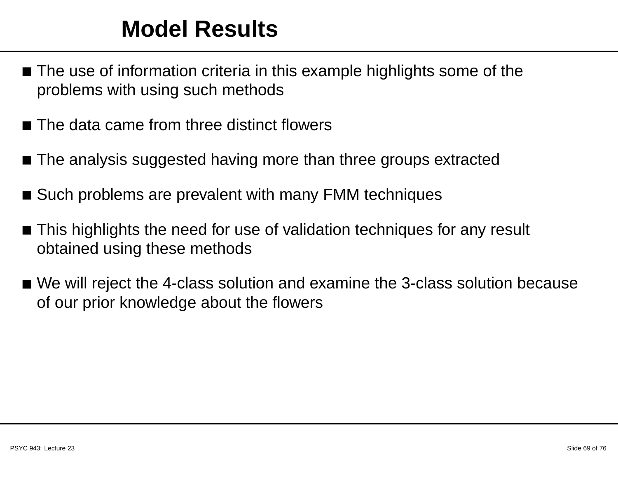#### **Model Results**

- $\blacksquare$  The use of information criteria in this example highlights some of the problems with using such methods
- $\blacksquare$  The data came from three distinct flowers
- $\blacksquare$  The analysis suggested having more than three groups extracted
- Such problems are prevalent with many FMM techniques
- $\blacksquare$  This highlights the need for use of validation techniques for any result obtained using these methods
- $\blacksquare$  We will reject the 4-class solution and examine the 3-class solution because of our prior knowledge about the flowers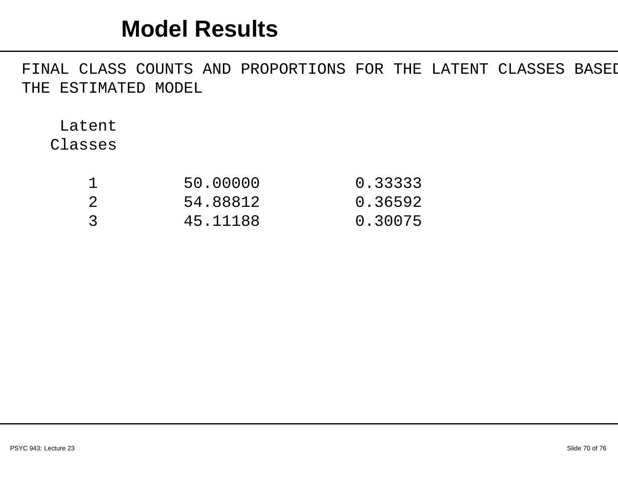#### **Model Results**

FINAL CLASS COUNTS AND PROPORTIONS FOR THE LATENT CLASSES BASEI THE ESTIMATED MODEL

LatentClasses

|               | 50.00000 | 0.33333 |
|---------------|----------|---------|
| -2            | 54.88812 | 0.36592 |
| $\mathcal{R}$ | 45.11188 | 0.30075 |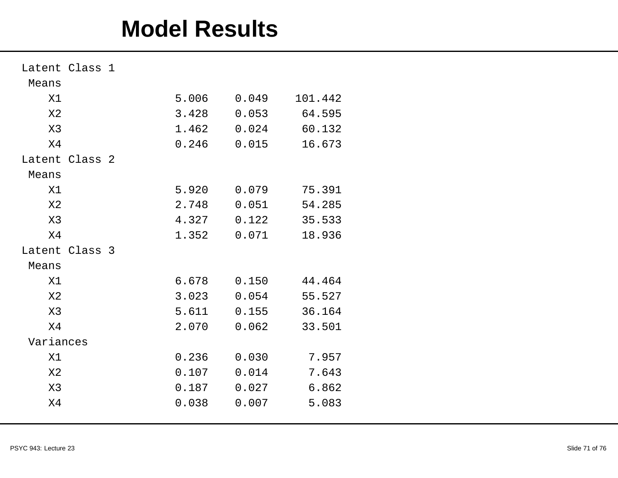#### **Model Results**

| Latent Class 1 |  |       |       |         |
|----------------|--|-------|-------|---------|
| Means          |  |       |       |         |
| X1             |  | 5.006 | 0.049 | 101.442 |
| X <sub>2</sub> |  | 3.428 | 0.053 | 64.595  |
| X3             |  | 1.462 | 0.024 | 60.132  |
| X4             |  | 0.246 | 0.015 | 16.673  |
| Latent Class 2 |  |       |       |         |
| Means          |  |       |       |         |
| X1             |  | 5.920 | 0.079 | 75.391  |
| X <sub>2</sub> |  | 2.748 | 0.051 | 54.285  |
| X3             |  | 4.327 | 0.122 | 35.533  |
| X <sub>4</sub> |  | 1.352 | 0.071 | 18.936  |
| Latent Class 3 |  |       |       |         |
| Means          |  |       |       |         |
| X1             |  | 6.678 | 0.150 | 44.464  |
| X <sub>2</sub> |  | 3.023 | 0.054 | 55.527  |
| X3             |  | 5.611 | 0.155 | 36.164  |
| X <sub>4</sub> |  | 2.070 | 0.062 | 33.501  |
| Variances      |  |       |       |         |
| X1             |  | 0.236 | 0.030 | 7.957   |
| X <sub>2</sub> |  | 0.107 | 0.014 | 7.643   |
| X3             |  | 0.187 | 0.027 | 6.862   |
| X4             |  | 0.038 | 0.007 | 5.083   |
|                |  |       |       |         |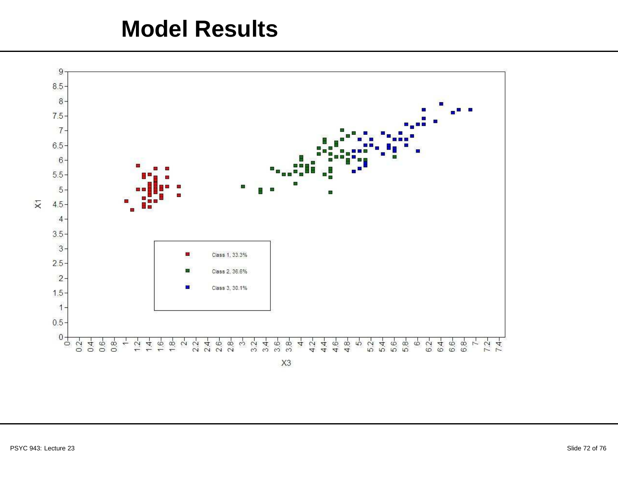#### **Model Results**

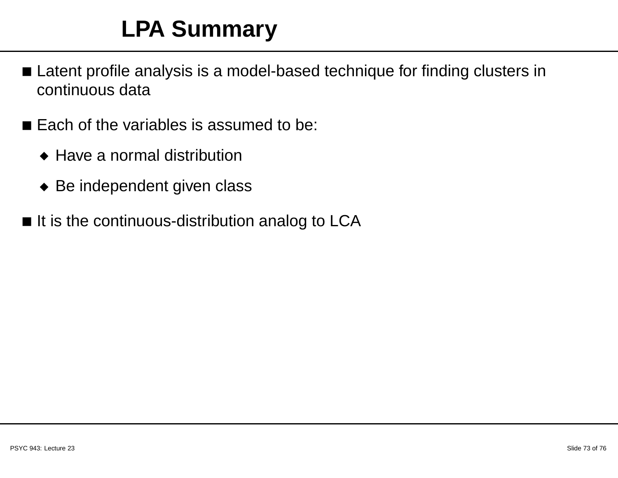## **LPA Summary**

- $\blacksquare$  Latent profile analysis is a model-based technique for finding clusters in continuous data
- $\blacksquare$  Each of the variables is assumed to be:
	- ◆ Have <sup>a</sup> normal distribution
	- ◆ Be independent given class
- $\blacksquare$  It is the continuous-distribution analog to LCA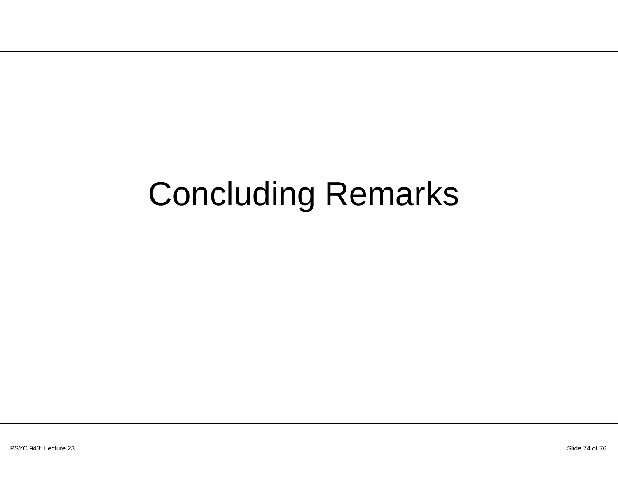# Concluding Remarks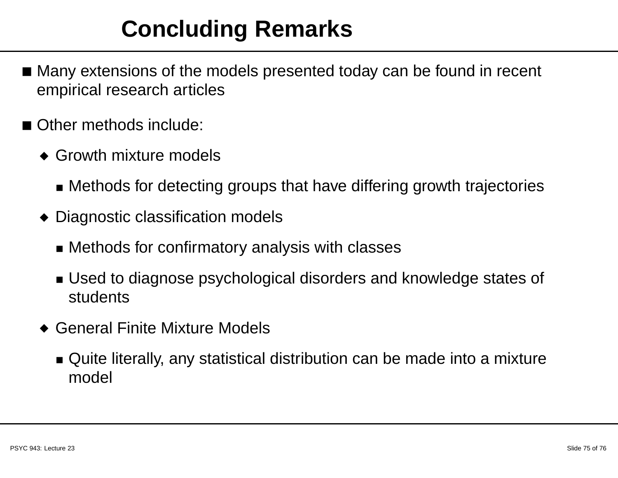### **Concluding Remarks**

- Many extensions of the models presented today can be found in recent empirical research articles
- ■ Other methods include:
	- ◆ Growth mixture models
		- Methods for detecting groups that have differing growth trajectories
	- ◆ Diagnostic classification models
		- Methods for confirmatory analysis with classes
		- Used to diagnose psychological disorders and knowledge states of students
	- ◆ General Finite Mixture Models
		- $\bullet\,$  Quite literally, any statistical distribution can be made into a mixture model